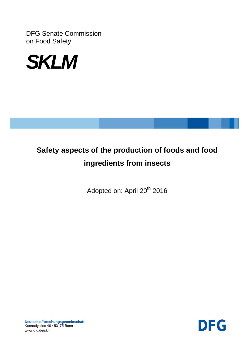DFG Senate Commission on Food Safety



# **Safety aspects of the production of foods and food ingredients from insects**

Adopted on: April 20<sup>th</sup> 2016

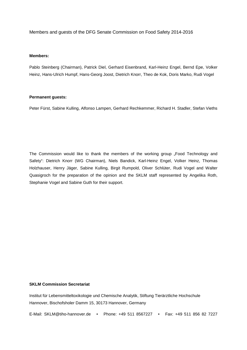Members and guests of the DFG Senate Commission on Food Safety 2014-2016

#### **Members:**

Pablo Steinberg (Chairman), Patrick Diel, Gerhard Eisenbrand, Karl-Heinz Engel, Bernd Epe, Volker Heinz, Hans-Ulrich Humpf, Hans-Georg Joost, Dietrich Knorr, Theo de Kok, Doris Marko, Rudi Vogel

#### **Permanent guests:**

Peter Fürst, Sabine Kulling, Alfonso Lampen, Gerhard Rechkemmer, Richard H. Stadler, Stefan Vieths

The Commission would like to thank the members of the working group . Food Technology and Safety": Dietrich Knorr (WG Chairman), Niels Bandick, Karl-Heinz Engel, Volker Heinz, Thomas Holzhauser, Henry Jäger, Sabine Kulling, Birgit Rumpold, Oliver Schlüter, Rudi Vogel and Walter Quasigroch for the preparation of the opinion and the SKLM staff represented by Angelika Roth, Stephanie Vogel and Sabine Guth for their support.

#### **SKLM Commission Secretariat**

Institut für Lebensmitteltoxikologie und Chemische Analytik, Stiftung Tierärztliche Hochschule Hannover, Bischofsholer Damm 15, 30173 Hannover, Germany

E-Mail: SKLM@tiho-hannover.de • Phone: +49 511 8567227 • Fax: +49 511 856 82 7227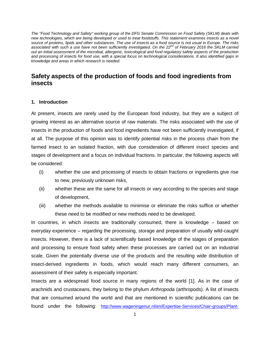*The "Food Technology and Safety" working group of the DFG Senate Commission on Food Safety (SKLM) deals with new technologies, which are being developed or used to treat foodstuffs. This statement examines insects as a novel source of proteins, lipids and other substances. The use of insects as a food source is not usual in Europe. The risks associated with such a use have not been sufficiently investigated. On the 22nd of February 2016 the SKLM carried out an initial assessment of the microbial, allergenic, toxicological and food regulatory safety aspects of the production and processing of insects for food use, with a special focus on technological considerations. It also identified gaps in knowledge and areas in which research is needed.*

### **Safety aspects of the production of foods and food ingredients from insects**

#### **1. Introduction**

At present, insects are rarely used by the European food industry, but they are a subject of growing interest as an alternative source of raw materials. The risks associated with the use of insects in the production of foods and food ingredients have not been sufficiently investigated, if at all. The purpose of this opinion was to identify potential risks in the process chain from the farmed insect to an isolated fraction, with due consideration of different insect species and stages of development and a focus on individual fractions. In particular, the following aspects will be considered:

- (i) whether the use and processing of insects to obtain fractions or ingredients give rise to new, previously unknown risks,
- (ii) whether these are the same for all insects or vary according to the species and stage of development,
- (iii) whether the methods available to minimise or eliminate the risks suffice or whether these need to be modified or new methods need to be developed.

In countries, in which insects are traditionally consumed, there is knowledge – based on everyday experience – regarding the processing, storage and preparation of usually wild-caught insects. However, there is a lack of scientifically based knowledge of the stages of preparation and processing to ensure food safety when these processes are carried out on an industrial scale. Given the potentially diverse use of the products and the resulting wide distribution of insect-derived ingredients in foods, which would reach many different consumers, an assessment of their safety is especially important.

Insects are a widespread food source in many regions of the world [\[1\]](#page-29-0). As in the case of arachnids and crustaceans, they belong to the phylum *Arthropoda* (arthropods). A list of insects that are consumed around the world and that are mentioned in scientific publications can be found under the following: [http://www.wageningenur.nl/en/Expertise-Services/Chair-groups/Plant-](http://www.wageningenur.nl/en/Expertise-Services/Chair-groups/Plant-Sciences/Laboratory-of-Entomology/Edible-insects/Worldwide-species-list.htm)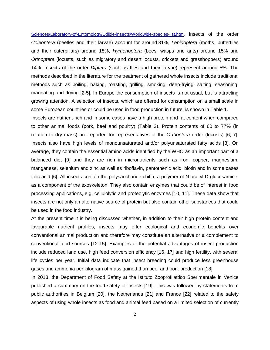[Sciences/Laboratory-of-Entomology/Edible-insects/Worldwide-species-list.htm.](http://www.wageningenur.nl/en/Expertise-Services/Chair-groups/Plant-Sciences/Laboratory-of-Entomology/Edible-insects/Worldwide-species-list.htm) Insects of the order *Coleoptera* (beetles and their larvae) account for around 31%, *Lepidoptera* (moths, butterflies and their caterpillars) around 18%, *Hymenoptera* (bees, wasps and ants) around 15% and *Orthoptera* (locusts, such as migratory and desert locusts, crickets and grasshoppers) around 14%. Insects of the order *Diptera* (such as flies and their larvae) represent around 5%. The methods described in the literature for the treatment of gathered whole insects include traditional methods such as boiling, baking, roasting, grilling, smoking, deep-frying, salting, seasoning, marinating and drying [\[2-5\]](#page-29-1). In Europe the consumption of insects is not usual, but is attracting growing attention. A selection of insects, which are offered for consumption on a small scale in some European countries or could be used in food production in future, is shown in Table 1.

Insects are nutrient-rich and in some cases have a high protein and fat content when compared to other animal foods (pork, beef and poultry) (Table 2). Protein contents of 60 to 77% (in relation to dry mass) are reported for representatives of the *Orthoptera* order (locusts) [\[6,](#page-29-2) [7\]](#page-29-3). Insects also have high levels of monounsaturated and/or polyunsaturated fatty acids [\[8\]](#page-29-4). On average, they contain the essential amino acids identified by the WHO as an important part of a balanced diet [\[9\]](#page-29-5) and they are rich in micronutrients such as iron, copper, magnesium, manganese, selenium and zinc as well as riboflavin, pantothenic acid, biotin and in some cases folic acid [\[6\]](#page-29-2). All insects contain the polysaccharide chitin, a polymer of N-acetyl-D-glucosamine, as a component of the exoskeleton. They also contain enzymes that could be of interest in food processing applications, e.g. cellulolytic and proteolytic enzymes [\[10,](#page-29-6) [11\]](#page-29-7). These data show that insects are not only an alternative source of protein but also contain other substances that could be used in the food industry.

At the present time it is being discussed whether, in addition to their high protein content and favourable nutrient profiles, insects may offer ecological and economic benefits over conventional animal production and therefore may constitute an alternative or a complement to conventional food sources [\[12-15\]](#page-29-8). Examples of the potential advantages of insect production include reduced land use, high feed conversion efficiency [\[16,](#page-30-0) [17\]](#page-30-1) and high fertility, with several life cycles per year. Initial data indicate that insect breeding could produce less greenhouse gases and ammonia per kilogram of mass gained than beef and pork production [\[18\]](#page-30-2).

In 2013, the Department of Food Safety at the Istituto Zooprofilattico Sperimentale in Venice published a summary on the food safety of insects [\[19\]](#page-30-3). This was followed by statements from public authorities in Belgium [\[20\]](#page-30-4), the Netherlands [\[21\]](#page-30-5) and France [\[22\]](#page-30-6) related to the safety aspects of using whole insects as food and animal feed based on a limited selection of currently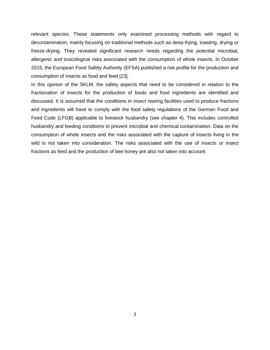relevant species. These statements only examined processing methods with regard to decontamination, mainly focusing on traditional methods such as deep-frying, toasting, drying or freeze-drying. They revealed significant research needs regarding the potential microbial, allergenic and toxicological risks associated with the consumption of whole insects. In October 2015, the European Food Safety Authority (EFSA) published a risk profile for the production and consumption of insects as food and feed [\[23\]](#page-30-7).

In this opinion of the SKLM, the safety aspects that need to be considered in relation to the fractionation of insects for the production of foods and food ingredients are identified and discussed. It is assumed that the conditions in insect rearing facilities used to produce fractions and ingredients will have to comply with the food safety regulations of the German Food and Feed Code (LFGB) applicable to livestock husbandry (see chapter 4). This includes controlled husbandry and feeding conditions to prevent microbial and chemical contamination. Data on the consumption of whole insects and the risks associated with the capture of insects living in the wild is not taken into consideration. The risks associated with the use of insects or insect fractions as feed and the production of bee honey are also not taken into account.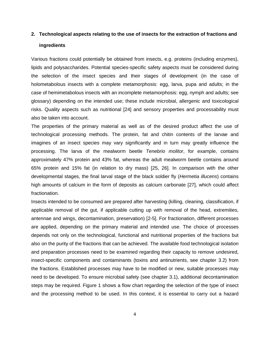# **2. Technological aspects relating to the use of insects for the extraction of fractions and ingredients**

Various fractions could potentially be obtained from insects, e.g. proteins (including enzymes), lipids and polysaccharides. Potential species-specific safety aspects must be considered during the selection of the insect species and their stages of development (in the case of holometabolous insects with a complete metamorphosis: egg, larva, pupa and adults; in the case of hemimetabolous insects with an incomplete metamorphosis: egg, nymph and adults; see glossary) depending on the intended use; these include microbial, allergenic and toxicological risks. Quality aspects such as nutritional [\[24\]](#page-30-8) and sensory properties and processability must also be taken into account.

The properties of the primary material as well as of the desired product affect the use of technological processing methods. The protein, fat and chitin contents of the larvae and imagines of an insect species may vary significantly and in turn may greatly influence the processing. The larva of the mealworm beetle *Tenebrio molitor*, for example, contains approximately 47% protein and 43% fat, whereas the adult mealworm beetle contains around 65% protein and 15% fat (in relation to dry mass) [\[25,](#page-30-9) [26\]](#page-30-10). In comparison with the other developmental stages, the final larval stage of the black soldier fly (*Hermetia illucens*) contains high amounts of calcium in the form of deposits as calcium carbonate [\[27\]](#page-30-11), which could affect fractionation.

Insects intended to be consumed are prepared after harvesting (killing, cleaning, classification, if applicable removal of the gut, if applicable cutting up with removal of the head, extremities, antennae and wings, decontamination, preservation) [\[2-5\]](#page-29-1). For fractionation, different processes are applied, depending on the primary material and intended use. The choice of processes depends not only on the technological, functional and nutritional properties of the fractions but also on the purity of the fractions that can be achieved. The available food technological isolation and preparation processes need to be examined regarding their capacity to remove undesired, insect-specific components and contaminants (toxins and antinutrients, see chapter 3.2) from the fractions. Established processes may have to be modified or new, suitable processes may need to be developed. To ensure microbial safety (see chapter 3.1), additional decontamination steps may be required. Figure 1 shows a flow chart regarding the selection of the type of insect and the processing method to be used. In this context, it is essential to carry out a hazard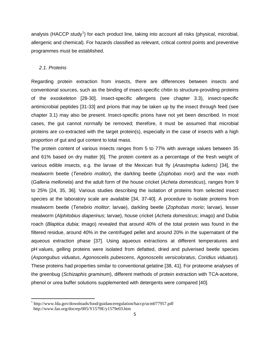analysis (HACCP study<sup>[1](#page-6-0)</sup>) for each product line, taking into account all risks (physical, microbial, allergenic and chemical). For hazards classified as relevant, critical control points and preventive programmes must be established.

#### *2.1. Proteins*

Regarding protein extraction from insects, there are differences between insects and conventional sources, such as the binding of insect-specific chitin to structure-providing proteins of the exoskeleton [\[28-30\]](#page-30-12). Insect-specific allergens (see chapter 3.3), insect-specific antimicrobial peptides [\[31-33\]](#page-31-0) and prions that may be taken up by the insect through feed (see chapter 3.1) may also be present. Insect-specific prions have not yet been described. In most cases, the gut cannot normally be removed; therefore, it must be assumed that microbial proteins are co-extracted with the target protein(s), especially in the case of insects with a high proportion of gut and gut content to total mass.

The protein content of various insects ranges from 5 to 77% with average values between 35 and 61% based on dry matter [\[6\]](#page-29-2). The protein content as a percentage of the fresh weight of various edible insects, e.g. the larvae of the Mexican fruit fly (*Anastrepha ludens)* [\[34\]](#page-31-1), the mealworm beetle (*Tenebrio molitor*), the darkling beetle (*Zophobas mori*) and the wax moth (*Galleria mellonela*) and the adult form of the house cricket (*Acheta domesticus*), ranges from 9 to 25% [\[24,](#page-30-8) [35,](#page-31-2) [36\]](#page-31-3). Various studies describing the isolation of proteins from selected insect species at the laboratory scale are available [\[34,](#page-31-1) [37-40\]](#page-31-4). A procedure to isolate proteins from mealworm beetle (*Tenebrio molitor*; larvae), darkling beetle (*Zophobas morio*; larvae), lesser mealworm (*Alphitobius diaperinus*; larvae), house cricket (*Acheta domesticus*; imago) and Dubia roach (*Blaptica dubia*; imago) revealed that around 40% of the total protein was found in the filtered residue, around 40% in the centrifuged pellet and around 20% in the supernatant of the aqueous extraction phase [\[37\]](#page-31-4). Using aqueous extractions at different temperatures and pH values, gelling proteins were isolated from defatted, dried and pulverised beetle species (*Aspongubus viduatus*, *Agonoscelis pubescens*, *Agonoscelis versicoloratus*, *Coridius viduatus*). These proteins had properties similar to conventional gelatine [\[38,](#page-31-5) [41\]](#page-31-6). For proteome analyses of the greenbug (*Schizaphis graminum*), different methods of protein extraction with TCA-acetone, phenol or urea buffer solutions supplemented with detergents were compared [\[40\]](#page-31-7).

<span id="page-6-0"></span><sup>1</sup> http://www.fda.gov/downloads/food/guidanceregulation/haccp/ucm077957.pdf http://www.fao.org/docrep/005/Y1579E/y1579e03.htm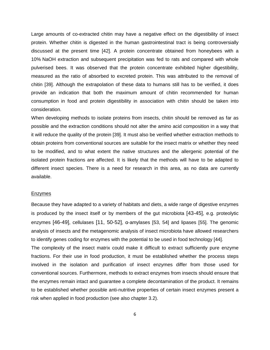Large amounts of co-extracted chitin may have a negative effect on the digestibility of insect protein. Whether chitin is digested in the human gastrointestinal tract is being controversially discussed at the present time [\[42\]](#page-31-8). A protein concentrate obtained from honeybees with a 10% NaOH extraction and subsequent precipitation was fed to rats and compared with whole pulverised bees. It was observed that the protein concentrate exhibited higher digestibility, measured as the ratio of absorbed to excreted protein. This was attributed to the removal of chitin [\[39\]](#page-31-9). Although the extrapolation of these data to humans still has to be verified, it does provide an indication that both the maximum amount of chitin recommended for human consumption in food and protein digestibility in association with chitin should be taken into consideration.

When developing methods to isolate proteins from insects, chitin should be removed as far as possible and the extraction conditions should not alter the amino acid composition in a way that it will reduce the quality of the protein [\[39\]](#page-31-9). It must also be verified whether extraction methods to obtain proteins from conventional sources are suitable for the insect matrix or whether they need to be modified, and to what extent the native structures and the allergenic potential of the isolated protein fractions are affected. It is likely that the methods will have to be adapted to different insect species. There is a need for research in this area, as no data are currently available.

#### Enzymes

Because they have adapted to a variety of habitats and diets, a wide range of digestive enzymes is produced by the insect itself or by members of the gut microbiota [\[43-45\]](#page-31-10), e.g. proteolytic enzymes [\[46-49\]](#page-32-0), cellulases [\[11,](#page-29-7) [50-52\]](#page-32-1), α-amylases [\[53,](#page-32-2) [54\]](#page-32-3) and lipases [\[55\]](#page-32-4). The genomic analysis of insects and the metagenomic analysis of insect microbiota have allowed researchers to identify genes coding for enzymes with the potential to be used in food technology [\[44\]](#page-31-11). The complexity of the insect matrix could make it difficult to extract sufficiently pure enzyme fractions. For their use in food production, it must be established whether the process steps involved in the isolation and purification of insect enzymes differ from those used for conventional sources. Furthermore, methods to extract enzymes from insects should ensure that the enzymes remain intact and guarantee a complete decontamination of the product. It remains to be established whether possible anti-nutritive properties of certain insect enzymes present a risk when applied in food production (see also chapter 3.2).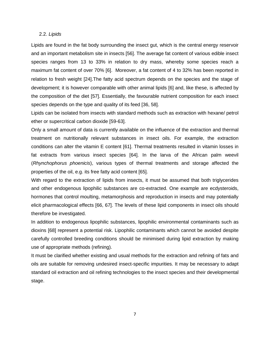#### 2.2. *Lipids*

Lipids are found in the fat body surrounding the insect gut, which is the central energy reservoir and an important metabolism site in insects [\[56\]](#page-32-5). The average fat content of various edible insect species ranges from 13 to 33% in relation to dry mass, whereby some species reach a maximum fat content of over 70% [\[6\]](#page-29-2). Moreover, a fat content of 4 to 32% has been reported in relation to fresh weight [\[24\]](#page-30-8).The fatty acid spectrum depends on the species and the stage of development; it is however comparable with other animal lipids [\[6\]](#page-29-2) and, like these, is affected by the composition of the diet [\[57\]](#page-32-6). Essentially, the favourable nutrient composition for each insect species depends on the type and quality of its feed [\[36,](#page-31-3) [58\]](#page-32-7).

Lipids can be isolated from insects with standard methods such as extraction with hexane/ petrol ether or supercritical carbon dioxide [\[59-63\]](#page-33-0).

Only a small amount of data is currently available on the influence of the extraction and thermal treatment on nutritionally relevant substances in insect oils. For example, the extraction conditions can alter the vitamin E content [\[61\]](#page-33-1). Thermal treatments resulted in vitamin losses in fat extracts from various insect species [\[64\]](#page-33-2). In the larva of the African palm weevil (*Rhynchophorus phoenicis*), various types of thermal treatments and storage affected the properties of the oil, e.g. its free fatty acid content [\[65\]](#page-33-3).

With regard to the extraction of lipids from insects, it must be assumed that both triglycerides and other endogenous lipophilic substances are co-extracted. One example are ecdysteroids, hormones that control moulting, metamorphosis and reproduction in insects and may potentially elicit pharmacological effects [\[66,](#page-33-4) [67\]](#page-33-5). The levels of these lipid components in insect oils should therefore be investigated.

In addition to endogenous lipophilic substances, lipophilic environmental contaminants such as dioxins [\[68\]](#page-33-6) represent a potential risk. Lipophilic contaminants which cannot be avoided despite carefully controlled breeding conditions should be minimised during lipid extraction by making use of appropriate methods (refining).

It must be clarified whether existing and usual methods for the extraction and refining of fats and oils are suitable for removing undesired insect-specific impurities. It may be necessary to adapt standard oil extraction and oil refining technologies to the insect species and their developmental stage.

7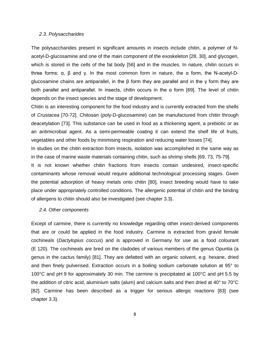#### *2.3. Polysaccharides*

The polysaccharides present in significant amounts in insects include chitin, a polymer of Nacetyl-D-glucosamine and one of the main component of the exoskeleton [\[28,](#page-30-12) [30\]](#page-30-13), and glycogen, which is stored in the cells of the fat body [\[56\]](#page-32-5) and in the muscles. In nature, chitin occurs in three forms:  $\alpha$ ,  $\beta$  and  $\gamma$ . In the most common form in nature, the  $\alpha$  form, the N-acetyl-Dglucosamine chains are antiparallel, in the β form they are parallel and in the γ form they are both parallel and antiparallel. In insects, chitin occurs in the α form [\[69\]](#page-33-7). The level of chitin depends on the insect species and the stage of development.

Chitin is an interesting component for the food industry and is currently extracted from the shells of *Crustacea* [\[70-72\]](#page-33-8). Chitosan (poly-D-glucosamine) can be manufactured from chitin through deacetylation [\[73\]](#page-34-0). This substance can be used in food as a thickening agent, a prebiotic or as an antimicrobial agent. As a semi-permeable coating it can extend the shelf life of fruits, vegetables and other foods by minimising respiration and reducing water losses [\[74\]](#page-34-1).

In studies on the chitin extraction from insects, isolation was accomplished in the same way as in the case of marine waste materials containing chitin, such as shrimp shells [\[69,](#page-33-7) [73,](#page-34-0) [75-79\]](#page-34-2).

It is not known whether chitin fractions from insects contain undesired, insect-specific contaminants whose removal would require additional technological processing stages. Given the potential adsorption of heavy metals onto chitin [\[80\]](#page-34-3), insect breeding would have to take place under appropriately controlled conditions. The allergenic potential of chitin and the binding of allergens to chitin should also be investigated (see chapter 3.3).

#### *2.4. Other components*

Except of carmine, there is currently no knowledge regarding other insect-derived components that are or could be applied in the food industry. Carmine is extracted from gravid female cochineals (*Dactylopius coccus*) and is approved in Germany for use as a food colourant (E 120). The cochineals are bred on the cladodes of various members of the genus Opuntia (a genus in the cactus family) [\[81\]](#page-34-4). They are defatted with an organic solvent, e.g. hexane, dried and then finely pulverised. Extraction occurs in a boiling sodium carbonate solution at 95° to 100°C and pH 9 for approximately 30 min. The carmine is precipitated at 100°C and pH 5.5 by the addition of citric acid, aluminium salts (alum) and calcium salts and then dried at 40° to 70°C [\[82\]](#page-34-5). Carmine has been described as a trigger for serious allergic reactions [\[83\]](#page-34-6) (see chapter 3.3).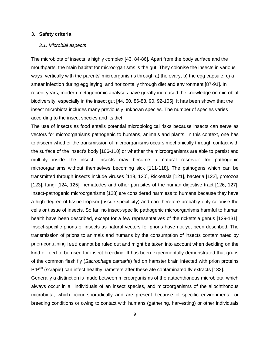#### **3. Safety criteria**

#### *3.1. Microbial aspects*

The microbiota of insects is highly complex [\[43,](#page-31-10) [84-86\]](#page-34-7). Apart from the body surface and the mouthparts, the main habitat for microorganisms is the gut. They colonise the insects in various ways: vertically with the parents' microorganisms through a) the ovary, b) the egg capsule, c) a smear infection during egg laying, and horizontally through diet and environment [\[87-91\]](#page-35-0). In recent years, modern metagenomic analyses have greatly increased the knowledge on microbial biodiversity, especially in the insect gut [\[44,](#page-31-11) [50,](#page-32-1) [86-88,](#page-34-8) [90,](#page-35-1) [92-105\]](#page-35-2). It has been shown that the insect microbiota includes many previously unknown species. The number of species varies according to the insect species and its diet.

The use of insects as food entails potential microbiological risks because insects can serve as vectors for microorganisms pathogenic to humans, animals and plants. In this context, one has to discern whether the transmission of microorganisms occurs mechanically through contact with the surface of the insect's body [\[106-110\]](#page-36-0) or whether the microorganisms are able to persist and multiply inside the insect. Insects may become a natural reservoir for pathogenic microorganisms without themselves becoming sick [\[111-118\]](#page-36-1). The pathogens which can be transmitted through insects include viruses [\[119,](#page-37-0) [120\]](#page-37-1), Rickettsia [\[121\]](#page-37-2), bacteria [\[122\]](#page-37-3), protozoa [\[123\]](#page-37-4), fungi [\[124,](#page-37-5) [125\]](#page-37-6), nematodes and other parasites of the human digestive tract [\[126,](#page-37-7) [127\]](#page-37-8). Insect-pathogenic microorganisms [\[128\]](#page-37-9) are considered harmless to humans because they have a high degree of tissue tropism (tissue specificity) and can therefore probably only colonise the cells or tissue of insects. So far, no insect-specific pathogenic microorganisms harmful to human health have been described, except for a few representatives of the rickettsia genus [\[129-131\]](#page-37-10). Insect-specific prions or insects as natural vectors for prions have not yet been described. The transmission of prions to animals and humans by the consumption of insects contaminated by prion-containing feed cannot be ruled out and might be taken into account when deciding on the kind of feed to be used for insect breeding. It has been experimentally demonstrated that grubs of the common flesh fly (*Sacrophaga carnaria*) fed on hamster brain infected with prion proteins PrP<sup>Sc</sup> (scrapie) can infect healthy hamsters after these ate contaminated fly extracts [\[132\]](#page-38-0).

Generally a distinction is made between microorganisms of the autochthonous microbiota, which always occur in all individuals of an insect species, and microorganisms of the allochthonous microbiota, which occur sporadically and are present because of specific environmental or breeding conditions or owing to contact with humans (gathering, harvesting) or other individuals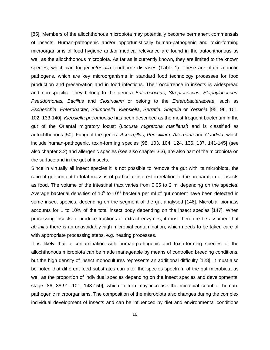[\[85\]](#page-34-9). Members of the allochthonous microbiota may potentially become permanent commensals of insects. Human-pathogenic and/or opportunistically human-pathogenic and toxin-forming microorganisms of food hygiene and/or medical relevance are found in the autochthonous as well as the allochthonous microbiota. As far as is currently known, they are limited to the known species, which can trigger *inter alia* foodborne diseases (Table 1). These are often zoonotic pathogens, which are key microorganisms in standard food technology processes for food production and preservation and in food infections. Their occurrence in insects is widespread and non-specific. They belong to the genera *Enterococcus*, *Streptococcus*, *Staphylococcus*, *Pseudomonas, Bacillus* and *Clostridium* or belong to the *Enterobacteriaceae*, such as *Escherichia*, *Enterobacter*, *Salmonella*, *Klebsiella*, *Serratia*, *Shigella* or *Yersinia* [\[95,](#page-35-3) [96,](#page-35-4) [101,](#page-36-2) [102,](#page-36-3) [133-140\]](#page-38-1). *Klebsiella pneumoniae* has been described as the most frequent bacterium in the gut of the Oriental migratory locust (*Locusta migratoria manilensi*) and is classified as autochthonous [\[50\]](#page-32-1). Fungi of the genera *Aspergillus*, *Penicillium*, *Alternaria* and *Candida*, which include human-pathogenic, toxin-forming species [\[98,](#page-35-5) [103,](#page-36-4) [104,](#page-36-5) [124,](#page-37-5) [136,](#page-38-2) [137,](#page-38-3) [141-145\]](#page-38-4) (see also chapter 3.2) and allergenic species (see also chapter 3.3), are also part of the microbiota on the surface and in the gut of insects.

Since in virtually all insect species it is not possible to remove the gut with its microbiota, the ratio of gut content to total mass is of particular interest in relation to the preparation of insects as food. The volume of the intestinal tract varies from 0.05 to 2 ml depending on the species. Average bacterial densities of  $10^6$  to  $10^{12}$  bacteria per ml of gut content have been detected in some insect species, depending on the segment of the gut analysed [\[146\]](#page-39-0). Microbial biomass accounts for 1 to 10% of the total insect body depending on the insect species [\[147\]](#page-39-1). When processing insects to produce fractions or extract enzymes, it must therefore be assumed that *ab initio* there is an unavoidably high microbial contamination, which needs to be taken care of with appropriate processing steps, e.g. heating processes.

It is likely that a contamination with human-pathogenic and toxin-forming species of the allochthonous microbiota can be made manageable by means of controlled breeding conditions, but the high density of insect monocultures represents an additional difficulty [\[128\]](#page-37-9). It must also be noted that different feed substrates can alter the species spectrum of the gut microbiota as well as the proportion of individual species depending on the insect species and developmental stage [\[86,](#page-34-8) [88-91,](#page-35-6) [101,](#page-36-2) [148-150\]](#page-39-2), which in turn may increase the microbial count of humanpathogenic microorganisms. The composition of the microbiota also changes during the complex individual development of insects and can be influenced by diet and environmental conditions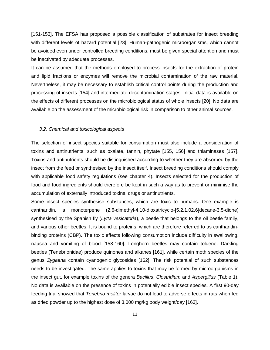[\[151-153\]](#page-39-3). The EFSA has proposed a possible classification of substrates for insect breeding with different levels of hazard potential [\[23\]](#page-30-7). Human-pathogenic microorganisms, which cannot be avoided even under controlled breeding conditions, must be given special attention and must be inactivated by adequate processes.

It can be assumed that the methods employed to process insects for the extraction of protein and lipid fractions or enzymes will remove the microbial contamination of the raw material. Nevertheless, it may be necessary to establish critical control points during the production and processing of insects [\[154\]](#page-39-4) and intermediate decontamination stages. Initial data is available on the effects of different processes on the microbiological status of whole insects [\[20\]](#page-30-4). No data are available on the assessment of the microbiological risk in comparison to other animal sources.

#### *3.2. Chemical and toxicological aspects*

The selection of insect species suitable for consumption must also include a consideration of toxins and antinutrients, such as oxalate, tannin, phytate [\[155,](#page-39-5) [156\]](#page-39-6) and thiaminases [\[157\]](#page-39-7). Toxins and antinutrients should be distinguished according to whether they are absorbed by the insect from the feed or synthesised by the insect itself. Insect breeding conditions should comply with applicable food safety regulations (see chapter 4). Insects selected for the production of food and food ingredients should therefore be kept in such a way as to prevent or minimise the accumulation of externally introduced toxins, drugs or antinutrients.

Some insect species synthesise substances, which are toxic to humans. One example is cantharidin, a monoterpene (2,6-dimethyl-4,10-dioxatricyclo-[5.2.1.02,6]decane-3,5-dione) synthesised by the Spanish fly (*Lytta vesicatoria*), a beetle that belongs to the oil beetle family, and various other beetles. It is bound to proteins, which are therefore referred to as cantharidinbinding proteins (CBP). The toxic effects following consumption include difficulty in swallowing, nausea and vomiting of blood [\[158-160\]](#page-40-0). Longhorn beetles may contain toluene. Darkling beetles (Tenebrionidae) produce quinones and alkanes [\[161\]](#page-40-1), while certain moth species of the genus *Zygaena* contain cyanogenic glycosides [\[162\]](#page-40-2). The risk potential of such substances needs to be investigated. The same applies to toxins that may be formed by microorganisms in the insect gut, for example toxins of the genera *Bacillus*, *Clostridium* and *Aspergillus* (Table 1). No data is available on the presence of toxins in potentially edible insect species. A first 90-day feeding trial showed that *Tenebrio molitor* larvae do not lead to adverse effects in rats when fed as dried powder up to the highest dose of 3,000 mg/kg body weight/day [\[163\]](#page-40-3).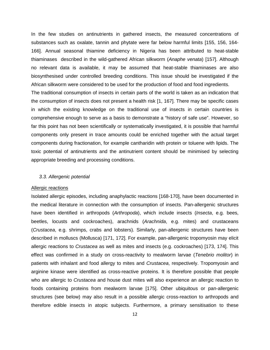In the few studies on antinutrients in gathered insects, the measured concentrations of substances such as oxalate, tannin and phytate were far below harmful limits [\[155,](#page-39-5) [156,](#page-39-6) [164-](#page-40-4) [166\]](#page-40-4). Annual seasonal thiamine deficiency in Nigeria has been attributed to heat-stable thiaminases described in the wild-gathered African silkworm (*Anaphe venata*) [\[157\]](#page-39-7). Although no relevant data is available, it may be assumed that heat-stable thiaminases are also biosynthesised under controlled breeding conditions. This issue should be investigated if the African silkworm were considered to be used for the production of food and food ingredients.

The traditional consumption of insects in certain parts of the world is taken as an indication that the consumption of insects does not present a health risk [\[1,](#page-29-0) [167\]](#page-40-5). There may be specific cases in which the existing knowledge on the traditional use of insects in certain countries is comprehensive enough to serve as a basis to demonstrate a "history of safe use". However, so far this point has not been scientifically or systematically investigated, it is possible that harmful components only present in trace amounts could be enriched together with the actual target components during fractionation, for example cantharidin with protein or toluene with lipids. The toxic potential of antinutrients and the antinutrient content should be minimised by selecting appropriate breeding and processing conditions.

#### *3.3. Allergenic potential*

#### Allergic reactions

Isolated allergic episodes, including anaphylactic reactions [\[168-170\]](#page-40-6), have been documented in the medical literature in connection with the consumption of insects. Pan-allergenic structures have been identified in arthropods (*Arthropoda*), which include insects (*Insecta*, e.g. bees, beetles, locusts and cockroaches), arachnids (*Arachnida*, e.g. mites) and crustaceans (*Crustacea*, e.g. shrimps, crabs and lobsters). Similarly, pan-allergenic structures have been described in molluscs (Mollusca) [\[171,](#page-40-7) [172\]](#page-41-0). For example, pan-allergenic tropomyosin may elicit allergic reactions to *Crustacea* as well as mites and insects (e.g. cockroaches) [\[173,](#page-41-1) [174\]](#page-41-2). This effect was confirmed in a study on cross-reactivity to mealworm larvae (*Tenebrio molitor*) in patients with inhalant and food allergy to mites and *Crustacea*, respectively. Tropomyosin and arginine kinase were identified as cross-reactive proteins. It is therefore possible that people who are allergic to *Crustacea* and house dust mites will also experience an allergic reaction to foods containing proteins from mealworm larvae [\[175\]](#page-41-3). Other ubiquitous or pan-allergenic structures (see below) may also result in a possible allergic cross-reaction to arthropods and therefore edible insects in atopic subjects. Furthermore, a primary sensitisation to these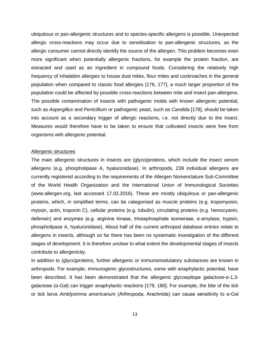ubiquitous or pan-allergenic structures and to species-specific allergens is possible. Unexpected allergic cross-reactions may occur due to sensitisation to pan-allergenic structures, as the allergic consumer cannot directly identify the source of the allergen. This problem becomes even more significant when potentially allergenic fractions, for example the protein fraction, are extracted and used as an ingredient in compound foods. Considering the relatively high frequency of inhalation allergies to house dust mites, flour mites and cockroaches in the general population when compared to classic food allergies [\[176,](#page-41-4) [177\]](#page-41-5), a much larger proportion of the population could be affected by possible cross-reactions between mite and insect pan-allergens. The possible contamination of insects with pathogenic molds with known allergenic potential, such as *Aspergillus* and *Penicillium* or pathogenic yeast, such as *Candida* [\[178\]](#page-41-6), should be taken into account as a secondary trigger of allergic reactions, i.e. not directly due to the insect. Measures would therefore have to be taken to ensure that cultivated insects were free from organisms with allergenic potential.

#### Allergenic structures

The main allergenic structures in insects are (glyco)proteins, which include the insect venom allergens (e.g. phospholipase A, hyaluronidase). In arthropods, 239 individual allergens are currently registered according to the requirements of the Allergen Nomenclature Sub-Committee of the World Health Organization and the International Union of Immunological Societies [\(www.allergen.org,](http://www.allergen.org/) last accessed 17.02.2016). These are mostly ubiquitous or pan-allergenic proteins, which, in simplified terms, can be categorised as muscle proteins (e.g. tropomyosin, myosin, actin, troponin C), cellular proteins (e.g. tubulin), circulating proteins (e.g. hemocyanin, defensin) and enzymes (e.g. arginine kinase, triosephosphate isomerase, α-amylase, trypsin, phospholipase A, hyaluronidase). About half of the current arthropod database entries relate to allergens in insects, although so far there has been no systematic investigation of the different stages of development. It is therefore unclear to what extent the developmental stages of insects contribute to allergenicity.

In addition to (glyco)proteins, further allergenic or immunomodulatory substances are known in arthropods. For example, immunogenic glycostructures, some with anaphylactic potential, have been described. It has been demonstrated that the allergenic glycoepitope galactose-α-1,3 galactose (α-Gal) can trigger anaphylactic reactions [\[179,](#page-41-7) [180\]](#page-41-8). For example, the bite of the tick or tick larva *Amblyomma americanum* (Arthropoda, Arachnida) can cause sensitivity to α-Gal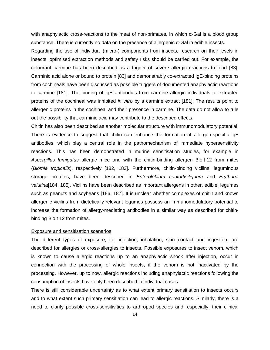with anaphylactic cross-reactions to the meat of non-primates, in which  $\alpha$ -Gal is a blood group substance. There is currently no data on the presence of allergenic α-Gal in edible insects.

Regarding the use of individual (micro-) components from insects, research on their levels in insects, optimised extraction methods and safety risks should be carried out. For example, the colourant carmine has been described as a trigger of severe allergic reactions to food [\[83\]](#page-34-6). Carminic acid alone or bound to protein [\[83\]](#page-34-6) and demonstrably co-extracted IgE-binding proteins from cochineals have been discussed as possible triggers of documented anaphylactic reactions to carmine [\[181\]](#page-41-9). The binding of IgE antibodies from carmine allergic individuals to extracted proteins of the cochineal was inhibited *in vitro* by a carmine extract [\[181\]](#page-41-9). The results point to allergenic proteins in the cochineal and their presence in carmine. The data do not allow to rule out the possibility that carminic acid may contribute to the described effects.

Chitin has also been described as another molecular structure with immunomodulatory potential. There is evidence to suggest that chitin can enhance the formation of allergen-specific IgE antibodies, which play a central role in the pathomechanism of immediate hypersensitivity reactions. This has been demonstrated in murine sensitisation studies, for example in *Aspergillus fumigatus* allergic mice and with the chitin-binding allergen Blo t 12 from mites (*Blomia tropicalis*), respectively [\[182,](#page-41-10) [183\]](#page-41-11). Furthermore, chitin-binding vicilins, leguminous storage proteins, have been described in *Enterolobium contortisiliquum* and *Erythrina velutina*[\[184,](#page-41-12) [185\]](#page-41-13). Vicilins have been described as important allergens in other, edible, legumes such as peanuts and soybeans [\[186,](#page-41-14) [187\]](#page-42-0). It is unclear whether complexes of chitin and known allergenic vicilins from dietetically relevant legumes possess an immunomodulatory potential to increase the formation of allergy-mediating antibodies in a similar way as described for chitinbinding Blo t 12 from mites.

#### Exposure and sensitisation scenarios

The different types of exposure, i.e. injection, inhalation, skin contact and ingestion, are described for allergies or cross-allergies to insects. Possible exposures to insect venom, which is known to cause allergic reactions up to an anaphylactic shock after injection, occur in connection with the processing of whole insects, if the venom is not inactivated by the processing. However, up to now, allergic reactions including anaphylactic reactions following the consumption of insects have only been described in individual cases.

There is still considerable uncertainty as to what extent primary sensitiation to insects occurs and to what extent such primary sensitiation can lead to allergic reactions. Similarly, there is a need to clarify possible cross-sensitivities to arthropod species and, especially, their clinical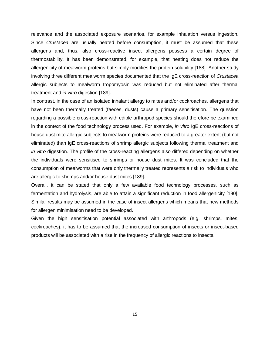relevance and the associated exposure scenarios, for example inhalation versus ingestion. Since *Crustacea* are usually heated before consumption, it must be assumed that these allergens and, thus, also cross-reactive insect allergens possess a certain degree of thermostability. It has been demonstrated, for example, that heating does not reduce the allergenicity of mealworm proteins but simply modifies the protein solubility [\[188\]](#page-42-1). Another study involving three different mealworm species documented that the IgE cross-reaction of *Crustacea* allergic subjects to mealworm tropomyosin was reduced but not eliminated after thermal treatment and *in vitro* digestion [\[189\]](#page-42-2).

In contrast, in the case of an isolated inhalant allergy to mites and/or cockroaches, allergens that have not been thermally treated (faeces, dusts) cause a primary sensitisation. The question regarding a possible cross-reaction with edible arthropod species should therefore be examined in the context of the food technology process used. For example, *in vitro* IgE cross-reactions of house dust mite allergic subjects to mealworm proteins were reduced to a greater extent (but not eliminated) than IgE cross-reactions of shrimp allergic subjects following thermal treatment and *in vitro* digestion. The profile of the cross-reacting allergens also differed depending on whether the individuals were sensitised to shrimps or house dust mites. It was concluded that the consumption of mealworms that were only thermally treated represents a risk to individuals who are allergic to shrimps and/or house dust mites [\[189\]](#page-42-2).

Overall, it can be stated that only a few available food technology processes, such as fermentation and hydrolysis, are able to attain a significant reduction in food allergenicity [\[190\]](#page-42-3). Similar results may be assumed in the case of insect allergens which means that new methods for allergen minimisation need to be developed.

Given the high sensitisation potential associated with arthropods (e.g. shrimps, mites, cockroaches), it has to be assumed that the increased consumption of insects or insect-based products will be associated with a rise in the frequency of allergic reactions to insects.

15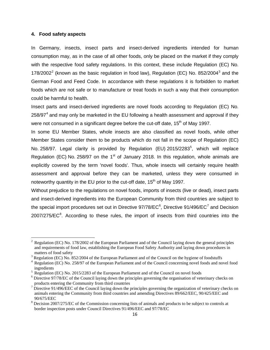#### **4. Food safety aspects**

In Germany, insects, insect parts and insect-derived ingredients intended for human consumption may, as in the case of all other foods, only be placed on the market if they comply with the respective food safety regulations. In this context, these include Regulation (EC) No. 178/[2](#page-17-0)002<sup>2</sup> (known as the basic regulation in food law), Regulation (EC) No. 852/2004<sup>[3](#page-17-1)</sup> and the German Food and Feed Code. In accordance with these regulations it is forbidden to market foods which are not safe or to manufacture or treat foods in such a way that their consumption could be harmful to health.

Insect parts and insect-derived ingredients are novel foods according to Regulation (EC) No.  $258/97<sup>4</sup>$  $258/97<sup>4</sup>$  $258/97<sup>4</sup>$  and may only be marketed in the EU following a health assessment and approval if they were not consumed in a significant degree before the cut-off date,  $15<sup>th</sup>$  of May 1997.

In some EU Member States, whole insects are also classified as novel foods, while other Member States consider them to be products which do not fall in the scope of Regulation (EC) No. 2[5](#page-17-3)8/97. Legal clarity is provided by Regulation (EU) 2015/2283<sup>5</sup>, which will replace Regulation (EC) No. 258/97 on the 1<sup>st</sup> of January 2018. In this regulation, whole animals are explicitly covered by the term 'novel foods'. Thus, whole insects will certainly require health assessment and approval before they can be marketed, unless they were consumed in noteworthy quantity in the EU prior to the cut-off date,  $15<sup>th</sup>$  of May 1997.

Without prejudice to the regulations on novel foods, imports of insects (live or dead), insect parts and insect-derived ingredients into the European Community from third countries are subject to the special import procedures set out in Directive 97/78/EC<sup>[6](#page-17-4)</sup>, Directive 91/496/EC<sup>[7](#page-17-5)</sup> and Decision  $2007/275/EC<sup>8</sup>$  $2007/275/EC<sup>8</sup>$  $2007/275/EC<sup>8</sup>$ . According to these rules, the import of insects from third countries into the

<span id="page-17-0"></span><sup>2</sup> Regulation (EC) No. 178/2002 of the European Parliament and of the Council laying down the general principles and requirements of food law, establishing the European Food Safety Authority and laying down procedures in matters of food safety<br> $3$  Regulation (EC) No. 852/2004 of the European Parliament and of the Council on the hygiene of foodstuffs

<span id="page-17-1"></span>

<span id="page-17-2"></span> $4$  Regulation (EC) No. 258/97 of the European Parliament and of the Council concerning novel foods and novel food ingredients

<span id="page-17-3"></span><sup>&</sup>lt;sup>5</sup> Regulation (EC) No. 2015/2283 of the European Parliament and of the Council on novel foods <sup>6</sup> Directive 97/78/EC of the Council laying down the principles governing the organisation of veterinary checks on

<span id="page-17-4"></span>products entering the Community from third countries  $^7$  Directive 91/496/EEC of the Council laying down the principles governing the organization of veterinary checks on

<span id="page-17-5"></span>animals entering the Community from third countries and amending Directives 89/662/EEC, 90/425/EEC and 90/675/EEC<br><sup>8</sup> Decision 2007/275/EC of the Commission concerning lists of animals and products to be subject to controls at

<span id="page-17-6"></span>border inspection posts under Council Directives 91/496/EEC and 97/78/EC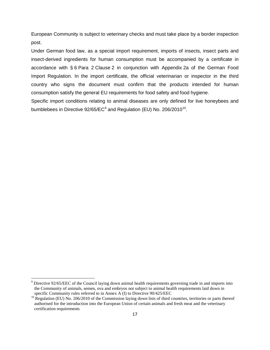European Community is subject to veterinary checks and must take place by a border inspection post.

Under German food law, as a special import requirement, imports of insects, insect parts and insect-derived ingredients for human consumption must be accompanied by a certificate in accordance with § 6 Para 2 Clause 2 in conjunction with Appendix 2a of the German Food Import Regulation. In the import certificate, the official veterinarian or inspector in the third country who signs the document must confirm that the products intended for human consumption satisfy the general EU requirements for food safety and food hygiene.

Specific import conditions relating to animal diseases are only defined for live honeybees and bumblebees in Directive  $92/65/EC^9$  $92/65/EC^9$  and Regulation (EU) No. 206/2010<sup>10</sup>.

<span id="page-18-0"></span><sup>9</sup> Directive 92/65/EEC of the Council laying down animal health requirements governing trade in and imports into the Community of animals, semen, ova and embryos not subject to animal health requirements laid down in

<span id="page-18-1"></span>specific Community rules referred to in Annex A (I) to Directive 90/425/EEC  $^{10}$  Regulation (EU) No. 206/2010 of the Commission laying down lists of third countries, territories or parts thereof authorised for the introduction into the European Union of certain animals and fresh meat and the veterinary certification requirements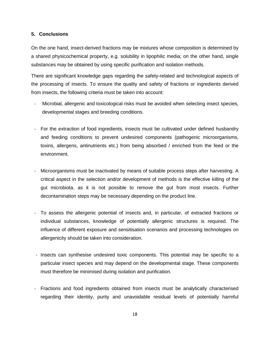#### **5. Conclusions**

On the one hand, insect-derived fractions may be mixtures whose composition is determined by a shared physicochemical property, e.g. solubility in lipophilic media; on the other hand, single substances may be obtained by using specific purification and isolation methods.

There are significant knowledge gaps regarding the safety-related and technological aspects of the processing of insects. To ensure the quality and safety of fractions or ingredients derived from insects, the following criteria must be taken into account:

- Microbial, allergenic and toxicological risks must be avoided when selecting insect species, developmental stages and breeding conditions.
- For the extraction of food ingredients, insects must be cultivated under defined husbandry and feeding conditions to prevent undesired components (pathogenic microorganisms, toxins, allergens, antinutrients etc.) from being absorbed / enriched from the feed or the environment.
- Microorganisms must be inactivated by means of suitable process steps after harvesting. A critical aspect in the selection and/or development of methods is the effective killing of the gut microbiota, as it is not possible to remove the gut from most insects. Further decontamination steps may be necessary depending on the product line.
- To assess the allergenic potential of insects and, in particular, of extracted fractions or individual substances, knowledge of potentially allergenic structures is required. The influence of different exposure and sensitisation scenarios and processing technologies on allergenicity should be taken into consideration.
- Insects can synthesise undesired toxic components. This potential may be specific to a particular insect species and may depend on the developmental stage. These components must therefore be minimised during isolation and purification.
- Fractions and food ingredients obtained from insects must be analytically characterised regarding their identity, purity and unavoidable residual levels of potentially harmful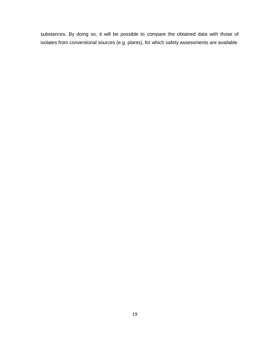substances. By doing so, it will be possible to compare the obtained data with those of isolates from conventional sources (e.g. plants), for which safety assessments are available.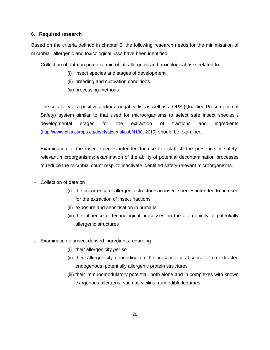#### **6. Required research**

Based on the criteria defined in chapter 5, the following research needs for the minimisation of microbial, allergenic and toxicological risks have been identified.

- Collection of data on potential microbial, allergenic and toxicological risks related to
	- (i) insect species and stages of development
	- (ii) breeding and cultivation conditions
	- (iii) processing methods
- The suitability of a positive and/or a negative list as well as a QPS (Qualified Presumption of Safety) system similar to that used for microorganisms to select safe insect species / developmental stages for the extraction of fractions and ingredients (http://**www**[.efsa.europa.eu/de/efsajournal/pub/4138;](http://www.efsa.europa.eu/de/efsajournal/pub/4138) 2015) should be examined.
- Examination of the insect species intended for use to establish the presence of safetyrelevant microorganisms; examination of the ability of potential decontamination processes to reduce the microbial count resp. to inactivate identified safety-relevant microorganisms.
- Collection of data on
	- (i) the occurrence of allergenic structures in insect species intended to be used for the extraction of insect fractions
	- (ii) exposure and sensitisation in humans
	- (iii) the influence of technological processes on the allergenicity of potentially allergenic structures
- Examination of insect derived ingredients regarding
	- (i) their allergenicity *per se*
	- (ii) their allergenicity depending on the presence or absence of co-extracted endogenous, potentially allergenic protein structures
	- (iii) their immunomodulatory potential, both alone and in complexes with known exogenous allergens, such as vicilins from edible legumes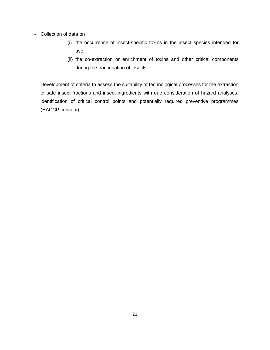- Collection of data on
	- (i) the occurrence of insect-specific toxins in the insect species intended for use
	- (ii) the co-extraction or enrichment of toxins and other critical components during the fractionation of insects
- Development of criteria to assess the suitability of technological processes for the extraction of safe insect fractions and insect ingredients with due consideration of hazard analyses, identification of critical control points and potentially required preventive programmes (HACCP concept).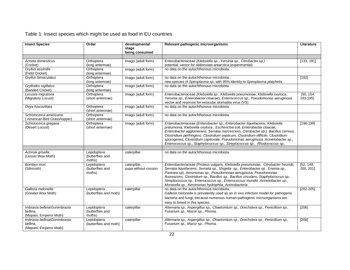| <b>Insect Species</b>                  | Order                         | developmental<br>stage | Relevant pathogenic microorganisms                                                                                    |               |
|----------------------------------------|-------------------------------|------------------------|-----------------------------------------------------------------------------------------------------------------------|---------------|
|                                        |                               | being consumed         |                                                                                                                       |               |
|                                        |                               |                        |                                                                                                                       |               |
| Acheta domesticus                      | Orthoptera                    | imago (adult form)     | Enterobacteriaceae (Klebsiella sp., Yersinia sp., Citrobacter sp.)                                                    | [133, 191]    |
| (Cricket)                              | (long antennae)               |                        | potential vector for Abbreviata antarctica (experimental)                                                             |               |
| Grvllus assimilis                      | Orthoptera                    | imago (adult form)     | no data on the autochthonous microbiota                                                                               |               |
| (Field Cricket)                        | (long antennae)               |                        |                                                                                                                       |               |
| Gryllus bimaculatus                    | Orthoptera                    | imago (adult form)     | no data on the autochthonous microbiota,                                                                              | [192]         |
|                                        | (long antennae)               |                        | new species of Spiroplasma sp. with 95% identity to Spiroplasma platyhelix<br>no data on the autochthonous microbiota |               |
| Gryllodes sigillatus                   | Orthoptera                    | imago (adult form)     |                                                                                                                       |               |
| (Banded Cricket)<br>Locusta migratoria | (long antennae)<br>Orthoptera | imago (adult form)     | Enterobacteriaceae (Klebsiella sp., Klebsiella pneumoniae, Klebsiella oxytoca,                                        | [50, 154,     |
| (Migratory Locust)                     | (short antennae)              |                        | Yersinia sp., Enterobacter cloacae), Enterococcus sp., Pseudomonas aeruginosa                                         | 193-195]      |
|                                        |                               |                        | vector and reservoir for vesicular stomatitis virus (VS)                                                              |               |
| Oxya fuscovittata                      | Orthoptera                    | imago (adult form)     | no data on the autochthonous microbiota                                                                               |               |
|                                        | (short antennae)              |                        |                                                                                                                       |               |
| Schistocerca americana                 | Orthoptera                    | imago (adult form)     | no data on the autochthonous microbiota                                                                               |               |
| (American Bird Grasshopper)            | (short antennae)              |                        |                                                                                                                       |               |
| Schistocerca gregaria                  | Orthoptera                    | imago (adult form)     | Enterobacteriaceae (Enterobacter sp., Enterobacter liquefaciens, Klebsiella                                           | $[196 - 199]$ |
| (Desert Locust)                        | (short antennae)              |                        | pneumonia, Klebsiella oxytoca, Escherichia coli, Enterobacter cloacae,                                                |               |
|                                        |                               |                        | Enterobacter agglomerans, Serratia marcescens, Citrobacter sp.), Bacillus cerreus,                                    |               |
|                                        |                               |                        | Clostridium perfringens, Clostridium septicum, Clostridium difficile, Clostridium                                     |               |
|                                        |                               |                        | sporogenes, Clostridium capitovale, Pseudomonas aeruginosa, Acinetobacter sp.,                                        |               |
|                                        |                               |                        | Enterococcus sp., Staphylococcus sp., Streptococcus sp., Rhodococcus sp.,                                             |               |
|                                        | Lepidoptera                   | caterpillar            | no data on the autochthonous microbiota                                                                               |               |
| Achroia grisella<br>(Lesser Wax Moth)  | (butterflies and              |                        |                                                                                                                       |               |
|                                        | moths)                        |                        |                                                                                                                       |               |
| Bombyx mori                            | Lepidoptera                   | caterpillar,           | Enterobacteriaceae (Proteus vulgaris, Klebsiella pneumoniae, Citrobacter freundii,                                    | [52, 149,     |
| (Silkmoth)                             | (butterflies and              | pupa without cocoon    | Serratia liquefaciens, Serratia sp., Shigella sp., Enterobacter sp., Erwinia sp.,                                     | 200, 201]     |
|                                        | moths)                        |                        | Pantoea sp), Aeromonas sp., Pseudomonas aeruginosa, Pseudomonas                                                       |               |
|                                        |                               |                        | fluorescens, Clostridium sp., Bacillus sp., Bacillus circulans, Staphylococcus sp.,                                   |               |
|                                        |                               |                        | Streptococcus sp., Enterococcus sp., Enterococcus mundtii, Acinetobacter sp.,                                         |               |
|                                        |                               |                        | Moraxella sp., Aeromonas hydrophila, Actinobacteria                                                                   |               |
| Galleria melonella                     | Lepidoptera                   | caterpillar            | no data on the autochthonous microbiota.                                                                              | $[202 - 205]$ |
| (Greater Wax Moth)                     | (butterflies and moth)        |                        | Galleria melonella is prevalently used as an in vivo infection model for pathogenic                                   |               |
|                                        |                               |                        | bacteria and fungi, because numerous human-pathogenic microorganisms are                                              |               |
|                                        |                               |                        | easy to breed in this species                                                                                         |               |
| Imbrasia bellina/Gonimbrasia           | Lepidoptera                   | caterpillar            | Alternaria sp., Aspergillus sp., Chaetomium sp., Drechslera sp., Penicillium sp.,                                     | [206]         |
| bellina.                               | (butterflies and              |                        | Fusarium sp., Mucor sp., Phoma,                                                                                       |               |
| (Mopani, Emperor Moth)                 | moths)                        |                        |                                                                                                                       |               |
| Imbrasia bellina/Gonimbrasia           | Lepidoptera                   | caterpillar            | Alternaria sp., Aspergillus sp., Chaetomium sp., Drechslera sp., Penicillium sp.,                                     | $[206]$       |
| bellina.                               | (butterflies and moth)        |                        | Fusarium sp., Mucor sp., Phoma,                                                                                       |               |
| (Mopani, Emperor Moth)                 |                               |                        |                                                                                                                       |               |

## Table 1: Insect species which might be used as food in EU countries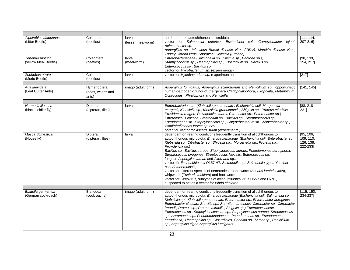| Alphitobius diaperinus<br>(Litter Beetle) | Coleoptera<br>(beetles)                  | larva<br>(lesser mealworm) | no data on the autochthonous microbiota<br>vector for Salmonella enterica, Escherichia coli, Campylobacter jejuni,<br>Acinetobacter sp.<br>Aspergillus sp., Infectious Bursal disease virus (IBDV), Marek's disease virus,<br>Turkey Corona virus, Sporozoa: Coccidia (Eimeria)                                                                                                                                                                                                                                                                                                                                                                                                                                                                                                                                                                    | $[111-114]$<br>207-2161                         |
|-------------------------------------------|------------------------------------------|----------------------------|----------------------------------------------------------------------------------------------------------------------------------------------------------------------------------------------------------------------------------------------------------------------------------------------------------------------------------------------------------------------------------------------------------------------------------------------------------------------------------------------------------------------------------------------------------------------------------------------------------------------------------------------------------------------------------------------------------------------------------------------------------------------------------------------------------------------------------------------------|-------------------------------------------------|
| Tenebrio molitor<br>(yellow Meal Beetle)  | Coleoptera<br>(beetles)                  | larva<br>(mealworm)        | Enterobacteriaceae (Salmonella sp., Erwinia sp., Pantoea sp.),<br>Staphylococcus sp., Haemophilus sp., Clostridium sp., Bacillus sp.,<br>Enterococcus sp., Bacillus sp.<br>vector for Mycobacterium sp. (experimental)                                                                                                                                                                                                                                                                                                                                                                                                                                                                                                                                                                                                                             | [90, 139]<br>154, 217]                          |
| Zophobas atratus<br>(Morio Beetle)        | Coleoptera<br>(beetles)                  | larva                      | vector for Mycobacterium sp. (experimental)                                                                                                                                                                                                                                                                                                                                                                                                                                                                                                                                                                                                                                                                                                                                                                                                        | [217]                                           |
| Atta laevigata<br>(Leaf Cutter Ants)      | Hymenoptera<br>(bees, wasps and<br>ants) | imago (adult form)         | Aspergillus fumigatus, Aspergillus sclerotiorum and Penicillium sp., opportunistic<br>human-pathogenic fungi of the genera Cladophialophora, Exophiala, Metarhizium,<br>Ochroconis, Phialophora and Penidiella                                                                                                                                                                                                                                                                                                                                                                                                                                                                                                                                                                                                                                     | [141, 145]                                      |
| Hermetia illucens<br>(black soldier fly)  | Diptera<br>(dipteran, flies)             | larva                      | Enterobacteriaceae (Klebsiella pneumoniae, Escherichia coli, Morganella<br>morganii, Klebsiella sp., Klebsiella granulomatis, Shigella sp., Proteus mirabilis,<br>Providencia rettgeri, Providencia stuartii, Citrobacter sp., Enterobacter sp.)<br>Enterococcus caccae, Clostridium sp., Bacillus sp., Strepptococcus sp.,<br>Pseudomonas sp., Staphylococcus sp., Corynebacterium sp., Acinetobacter sp.,<br>Wohlfahrtiimonas larvae sp. nov.<br>potential vector for Ascaris suum (experimental)                                                                                                                                                                                                                                                                                                                                                | [88, 218]<br>221]                               |
| Musca domestica<br>(Housefly)             | Diptera<br>(dipteran, flies)             | larva                      | dependent on rearing conditions frequently transition of allochthonous to<br>autochthonous microbiota: Enterobacteriaceae (Escherichia coli, Enterobacter sp.,<br>Klebsiella sp., Citrobacter sp., Shigella sp., Morganella sp., Proteus sp.,<br>Providencia sp.)<br>Bacillus sp., Bacilius cereus, Staphylococcus aureus, Pseudomonas aeruginosa,<br>Streptococcus pyogenes, Streptococcus faecalis, Enterococcus sp.<br>fungi as Aspergillus tamari and Alternaria sp.,<br>vector für Escherichia coli O157:H7, Salmonella sp., Salmonella typhi, Yersinia<br>pseudotuberculosis,<br>vector for different species of nematodes: round worm (Ascaris lumbricoides),<br>whipworm (Trichuris trichiura) and hookworm<br>vector for Circovirus, subtypes of avian influenza virus H5N7 and H7N1,<br>suspected to act as a vector for Vibrio cholerae | [95, 106,<br>109, 110,<br>126, 138,<br>222-233] |
| Blattella germanica                       | <b>Blattodea</b>                         | imago (adult form)         | dependent on rearing conditions frequently transition of allochthonous to                                                                                                                                                                                                                                                                                                                                                                                                                                                                                                                                                                                                                                                                                                                                                                          | [115, 150,                                      |
| (German cockroach)                        | (cockroachs)                             |                            | autochthonous microbiota: Enterobacteriaceae (Escherichia coli, Salmonella sp.,<br>Klebsiella sp., Klebsiella pneumoniae, Enterobacter sp., Enterobacter aeroginus,<br>Enterobacter cloacae, Serratia sp., Serratia marcesens, Citrobacter sp., Citrobacter<br>freundii, Proteus sp., Proteus mirabilis, Shigella sp.) Enterococcaceae,<br>Enterococcus sp., Staphylococcaceae sp., Staphylococcus aureus, Streptococcus<br>sp., Aeromonas sp., Pseudomonadaceae, Pseudomonas sp., Pseudomonas<br>aeruginosa, Haemophilus sp., Clostrdiales, Candida sp., Mucor sp., Penicillium<br>sp., Aspergillus niger, Aspergillus fumigatus                                                                                                                                                                                                                  | 234-237]                                        |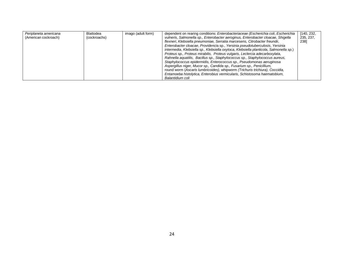| Periplaneta americana | Blattodea    | imago (adult form) | dependent on rearing conditions: Enterobacteriaceae (Escherichia coli, Escherichia     | [140, 232, |
|-----------------------|--------------|--------------------|----------------------------------------------------------------------------------------|------------|
| (American cockroach)  | (cockroachs) |                    | vulneris, Salmonella sp., Enterobacter aeroginus, Enterobacter cloacae, Shigella       | 235, 237,  |
|                       |              |                    | flexneri, Klebsiella pneumoniae, Serratia marcesens, Citrobacter freundii,             | 2381       |
|                       |              |                    | Enterobacter cloacae, Providencia sp., Yersinia pseudotuberculosis, Yersinia           |            |
|                       |              |                    | intermedia, Klebsiella sp., Klebsiella oxytoca, Klebsiella planticola, Salmonella sp.) |            |
|                       |              |                    | Proteus sp., Proteus mirabilis, Proteus vulgaris, Leclercia adecarboxylata,            |            |
|                       |              |                    | Rahnella aquatilis, Bacillus sp., Staphylococcus sp., Staphylococcus aureus,           |            |
|                       |              |                    | Staphylococcus epidermidis, Enterococcus sp., Pseudomonas aeruginosa                   |            |
|                       |              |                    | Aspergillus niger, Mucor sp., Candida sp., Fusarium sp., Penicillium,                  |            |
|                       |              |                    | round worm (Ascaris lumbricoides), whipworm (Trichuris trichiura), Coccidia,           |            |
|                       |              |                    | Entamoeba histolytica, Enterobius vermicularis, Schistosoma haematobium,               |            |
|                       |              |                    | Balantidium coli                                                                       |            |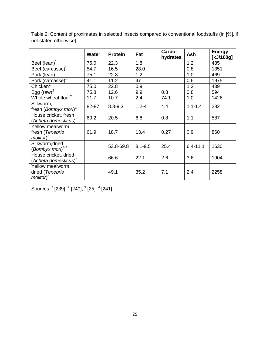|                                                          | Water | <b>Protein</b> | Fat         | Carbo-<br>hydrates | Ash          | <b>Energy</b><br>[kJ/100g] |
|----------------------------------------------------------|-------|----------------|-------------|--------------------|--------------|----------------------------|
| Beef (lean) $1$                                          | 75.0  | 22.3           | 1.8         |                    | 1.2          | 485                        |
| Beef (carcasse) <sup>1</sup>                             | 54.7  | 16.5           | 28.0        |                    | 0.8          | 1351                       |
| Pork (lean)                                              | 75.1  | 22.8           | 1.2         |                    | 1.0          | 469                        |
| Pork (carcasse) <sup>1</sup>                             | 41.1  | 11.2           | 47          |                    | 0.6          | 1975                       |
| Chicken <sup>1</sup>                                     | 75.0  | 22.8           | 0.9         |                    | 1.2          | 439                        |
| Egg (raw) <sup>2</sup>                                   | 75.8  | 12.6           | 9.9         | 0.8                | 0.8          | 594                        |
| Whole wheat flour <sup>2</sup>                           | 11.7  | 10.7           | 2.4         | 74.1               | 1.0          | 1426                       |
| Silkworm,<br>fresh (Bombyx mori) <sup>3-4</sup>          | 82-87 | $8.8 - 9.3$    | $1.2 - 4$   | 4.4                | $1.1 - 1.4$  | 282                        |
| House cricket, fresh<br>(Acheta domesticus) <sup>3</sup> | 69.2  | 20.5           | 6.8         | 0.8                | 1.1          | 587                        |
| Yellow mealworm,<br>fresh (Tenebrio<br>$m$ olitor $)^3$  | 61.9  | 18.7           | 13.4        | 0.27               | 0.9          | 860                        |
| Silkworm, dried<br>(Bombyx mori) $3-4$                   |       | 53.8-69.8      | $8.1 - 9.5$ | 25.4               | $6.4 - 11.1$ | 1630                       |
| House cricket, dried<br>(Acheta domesticus) <sup>3</sup> |       | 66.6           | 22.1        | 2.6                | 3.6          | 1904                       |
| Yellow mealworm,<br>dried (Tenebrio<br>$m$ olitor $)^3$  |       | 49.1           | 35.2        | 7.1                | 2.4          | 2258                       |

Table 2: Content of proximates in selected insects compared to conventional foodstuffs (in [%], if not stated otherwise).

Sources: <sup>1</sup> [\[239\]](#page-45-5), <sup>2</sup> [\[240\]](#page-46-0), <sup>3</sup> [\[25\]](#page-30-9), <sup>4</sup> [\[241\]](#page-46-1).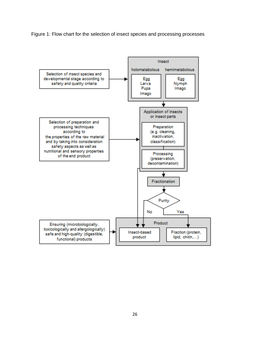Figure 1: Flow chart for the selection of insect species and processing processes

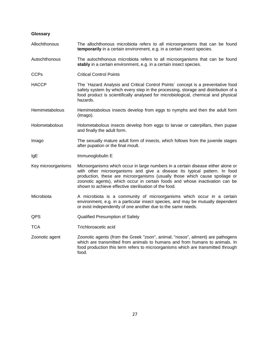#### **Glossary**

- Allochthonous The allochthonous microbiota refers to all microorganisms that can be found **temporarily** in a certain environment, e.g. in a certain insect species.
- Autochthonous The autochthonous microbiota refers to all microorganisms that can be found **stably** in a certain environment, e.g. in a certain insect species.
- CCPs Critical Control Points
- HACCP The `Hazard Analysis and Critical Control Points' concept is a preventative food safety system by which every step in the processing, storage and distribution of a food product is scientifically analysed for microbiological, chemical and physical hazards.
- Hemimetabolous Hemimetabolous insects develop from eggs to nymphs and then the adult form (imago).
- Holometabolous Holometabolous insects develop from eggs to larvae or caterpillars, then pupae and finally the adult form.
- Imago The sexually mature adult form of insects, which follows from the juvenile stages after pupation or the final moult.
- IgE Immunoglobulin E
- Key microorganisms Microorganisms which occur in large numbers in a certain disease either alone or with other microorganisms and give a disease its typical pattern. In food production, these are microorganisms (usually those which cause spoilage or zoonotic agents), which occur in certain foods and whose inactivation can be shown to achieve effective sterilisation of the food.
- Microbiota **A microbiota** is a community of microorganisms which occur in a certain environment, e.g. in a particular insect species, and may be mutually dependent or exist independently of one another due to the same needs.
- QPS Qualified Presumption of Safety
- TCA Trichloroacetic acid
- Zoonotic agent Zoonotic agents (from the Greek "zoon", animal; "nosos", ailment) are pathogens which are transmitted from animals to humans and from humans to animals. In food production this term refers to microorganisms which are transmitted through food.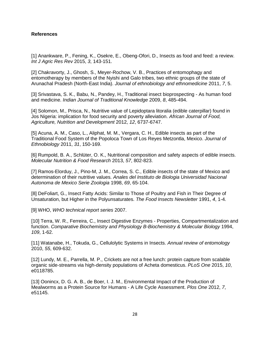#### **References**

<span id="page-29-0"></span>[1] Anankware, P., Fening, K., Osekre, E., Obeng-Ofori, D., Insects as food and feed: a review. *Int J Agric Res Rev* 2015, *3*, 143-151.

<span id="page-29-1"></span>[2] Chakravorty, J., Ghosh, S., Meyer-Rochow, V. B., Practices of entomophagy and entomotherapy by members of the Nyishi and Galo tribes, two ethnic groups of the state of Arunachal Pradesh (North-East India). *Journal of ethnobiology and ethnomedicine* 2011, *7*, 5.

[3] Srivastava, S. K., Babu, N., Pandey, H., Traditional insect bioprospecting - As human food and medicine. *Indian Journal of Traditional Knowledge* 2009, *8*, 485-494.

[4] Solomon, M., Prisca, N., Nutritive value of Lepidoptara litoralia (edible caterpillar) found in Jos Nigeria: implication for food security and poverty alleviation. *African Journal of Food, Agriculture, Nutrition and Development* 2012, *12*, 6737-6747.

[5] Acuna, A. M., Caso, L., Aliphat, M. M., Vergara, C. H., Edible insects as part of the Traditional Food System of the Popoloca Town of Los Reyes Metzontla, Mexico. *Journal of Ethnobiology* 2011, *31*, 150-169.

<span id="page-29-2"></span>[6] Rumpold, B. A., Schlüter, O. K., Nutritional composition and safety aspects of edible insects. *Molecular Nutrition & Food Research* 2013, *57*, 802-823.

<span id="page-29-3"></span>[7] Ramos-Elorduy, J., Pino-M, J. M., Correa, S. C., Edible insects of the state of Mexico and determination of their nutritive values. *Anales del Instituto de Biologia Universidad Nacional Autonoma de Mexico Serie Zoologia* 1998, *69*, 65-104.

<span id="page-29-4"></span>[8] DeFoliart, G., Insect Fatty Acids: Similar to Those of Poultry and Fish in Their Degree of Unsaturation, but Higher in the Polyunsaturates. *The Food Insects Newsletter* 1991, *4*, 1-4.

<span id="page-29-5"></span>[9] WHO, *WHO technical report series* 2007.

<span id="page-29-6"></span>[10] Terra, W. R., Ferreira, C., Insect Digestive Enzymes - Properties, Compartmentalization and function. *Comparative Biochemistry and Physiology B-Biochemistry & Molecular Biology* 1994, *109*, 1-62.

<span id="page-29-7"></span>[11] Watanabe, H., Tokuda, G., Cellulolytic Systems in Insects. *Annual review of entomology*  2010, *55*, 609-632.

<span id="page-29-8"></span>[12] Lundy, M. E., Parrella, M. P., Crickets are not a free lunch: protein capture from scalable organic side-streams via high-density populations of Acheta domesticus. *PLoS One* 2015, *10*, e0118785.

[13] Oonincx, D. G. A. B., de Boer, I. J. M., Environmental Impact of the Production of Mealworms as a Protein Source for Humans - A Life Cycle Assessment. *Plos One* 2012, *7*, e51145.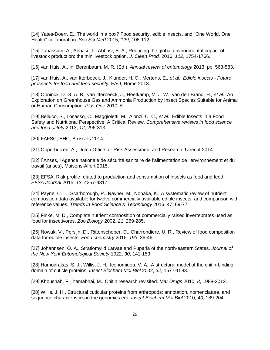[14] Yates-Doerr, E., The world in a box? Food security, edible insects, and "One World, One Health" collaboration. *Soc Sci Med* 2015, *129*, 106-112.

[15] Tabassum, A., Abbasi, T., Abbasi, S. A., Reducing the global environmental impact of livestock production: the minilivestock option. *J. Clean Prod.* 2016, *112*, 1754-1766.

<span id="page-30-0"></span>[16] van Huis, A., in: Berenbaum, M. R. (Ed.), *Annual review of entomology* 2013, pp. 563-583.

<span id="page-30-1"></span>[17] van Huis, A., van Itterbeeck, J., Klunder, H. C., Mertens, E.*, et al.*, *Edible insects - Future prospects for food and feed security*, FAO, Rome 2013.

<span id="page-30-2"></span>[18] Oonincx, D. G. A. B., van Itterbeeck, J., Heetkamp, M. J. W., van den Brand, H.*, et al.*, An Exploration on Greenhouse Gas and Ammonia Production by Insect Species Suitable for Animal or Human Consumption. *Plos One* 2010, *5*.

<span id="page-30-3"></span>[19] Belluco, S., Losasso, C., Maggioletti, M., Alonzi, C. C.*, et al.*, Edible Insects in a Food Safety and Nutritional Perspective: A Critical Review. *Comprehensive reviews in food science and food safety* 2013, *12*, 296-313.

<span id="page-30-4"></span>[20] FAFSC, SHC, Brussels 2014.

<span id="page-30-5"></span>[21] Opperhuizen, A., Dutch Office for Risk Assessment and Research, Utrecht 2014.

<span id="page-30-6"></span>[22] l`Anses, l'Agence nationale de sécurité sanitaire de l'alimentation,de l'environnement et du travail (anses), Maisons-Alfort 2015.

<span id="page-30-7"></span>[23] EFSA, Risk profile related to production and consumption of insects as food and feed. *EFSA Journal* 2015, *13*, 4257-4317.

<span id="page-30-8"></span>[24] Payne, C. L., Scarborough, P., Rayner, M., Nonaka, K., A systematic review of nutrient composition data available for twelve commercially available edible insects, and comparison with reference values. *Trends in Food Science & Technology* 2016, *47*, 69-77.

<span id="page-30-9"></span>[25] Finke, M. D., Complete nutrient composition of commercially raised invertebrates used as food for insectivores. *Zoo Biology* 2002, *21*, 269-285.

<span id="page-30-10"></span>[26] Nowak, V., Persijn, D., Rittenschober, D., Charrondiere, U. R., Review of food composition data for edible insects. *Food chemistry* 2016, *193*, 39-46.

<span id="page-30-11"></span>[27] Johannsen, O. A., Stratiomyiid Larvae and Puparia of the north-eastern States. *Journal of the New York Entomological Society* 1922, *30*, 141-153.

<span id="page-30-12"></span>[28] Hamodrakas, S. J., Willis, J. H., Iconomidou, V. A., A structural model of the chitin-binding domain of cuticle proteins. *Insect Biochem Mol Biol* 2002, *32*, 1577-1583.

[29] Khoushab, F., Yamabhai, M., Chitin research revisited. *Mar Drugs* 2010, *8*, 1988-2012.

<span id="page-30-13"></span>[30] Willis, J. H., Structural cuticular proteins from arthropods: annotation, nomenclature, and sequence characteristics in the genomics era. *Insect Biochem Mol Biol* 2010, *40*, 189-204.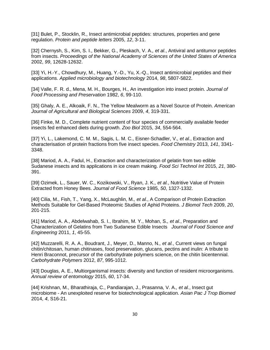<span id="page-31-0"></span>[31] Bulet, P., Stocklin, R., Insect antimicrobial peptides: structures, properties and gene regulation. *Protein and peptide letters* 2005, *12*, 3-11.

[32] Chernysh, S., Kim, S. I., Bekker, G., Pleskach, V. A.*, et al.*, Antiviral and antitumor peptides from insects. *Proceedings of the National Academy of Sciences of the United States of America*  2002, *99*, 12628-12632.

[33] Yi, H.-Y., Chowdhury, M., Huang, Y.-D., Yu, X.-Q., Insect antimicrobial peptides and their applications. *Applied microbiology and biotechnology* 2014, *98*, 5807-5822.

<span id="page-31-1"></span>[34] Valle, F. R. d., Mena, M. H., Bourges, H., An investigation into insect protein. *Journal of Food Processing and Preservation* 1982, *6*, 99-110.

<span id="page-31-2"></span>[35] Ghaly, A. E., Alkoaik, F. N., The Yellow Mealworm as a Novel Source of Protein. *American Journal of Agricultural and Biological Sciences* 2009, *4*, 319-331.

<span id="page-31-3"></span>[36] Finke, M. D., Complete nutrient content of four species of commercially available feeder insects fed enhanced diets during growth. *Zoo Biol* 2015, *34*, 554-564.

<span id="page-31-4"></span>[37] Yi, L., Lakemond, C. M. M., Sagis, L. M. C., Eisner-Schadler, V.*, et al.*, Extraction and characterisation of protein fractions from five insect species. *Food Chemistry* 2013, *141*, 3341- 3348.

<span id="page-31-5"></span>[38] Mariod, A. A., Fadul, H., Extraction and characterization of gelatin from two edible Sudanese insects and its applications in ice cream making. *Food Sci Technol Int* 2015, *21*, 380- 391.

<span id="page-31-9"></span>[39] Ozimek, L., Sauer, W. C., Kozikowski, V., Ryan, J. K.*, et al.*, Nutritive Value of Protein Extracted from Honey Bees. *Journal of Food Science* 1985, *50*, 1327-1332.

<span id="page-31-7"></span>[40] Cilia, M., Fish, T., Yang, X., McLaughlin, M.*, et al.*, A Comparison of Protein Extraction Methods Suitable for Gel-Based Proteomic Studies of Aphid Proteins. *J Biomol Tech* 2009, *20*, 201-215.

<span id="page-31-6"></span>[41] Mariod, A. A., Abdelwahab, S. I., Ibrahim, M. Y., Mohan, S.*, et al.*, Preparation and Characterization of Gelatins from Two Sudanese Edible Insects *Journal of Food Science and Engineering* 2011, *1*, 45-55.

<span id="page-31-8"></span>[42] Muzzarelli, R. A. A., Boudrant, J., Meyer, D., Manno, N.*, et al.*, Current views on fungal chitin/chitosan, human chitinases, food preservation, glucans, pectins and inulin: A tribute to Henri Braconnot, precursor of the carbohydrate polymers science, on the chitin bicentennial. *Carbohydrate Polymers* 2012, *87*, 995-1012.

<span id="page-31-10"></span>[43] Douglas, A. E., Multiorganismal insects: diversity and function of resident microorganisms. *Annual review of entomology* 2015, *60*, 17-34.

<span id="page-31-11"></span>[44] Krishnan, M., Bharathiraja, C., Pandiarajan, J., Prasanna, V. A.*, et al.*, Insect gut microbiome - An unexploited reserve for biotechnological application. *Asian Pac J Trop Biomed*  2014, *4*, S16-21.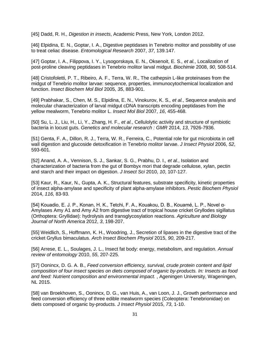[45] Dadd, R. H., *Digestion in insects*, Academic Press, New York, London 2012.

<span id="page-32-8"></span><span id="page-32-0"></span>[46] Elpidina, E. N., Goptar, I. A., Digestive peptidases in Tenebrio molitor and possibility of use to treat celiac disease. *Entomological Research* 2007, *37*, 139.147.

[47] Goptar, I. A., Filippova, I. Y., Lysogorskaya, E. N., Oksenoit, E. S.*, et al.*, Localization of post-proline cleaving peptidases in Tenebrio molitor larval midgut. *Biochimie* 2008, *90*, 508-514.

<span id="page-32-9"></span>[48] Cristofoletti, P. T., Ribeiro, A. F., Terra, W. R., The cathepsin L-like proteinases from the midgut of Tenebrio molitor larvae: sequence, properties, immunocytochemical localization and function. *Insect Biochem Mol Biol* 2005, *35*, 883-901.

[49] Prabhakar, S., Chen, M. S., Elpidina, E. N., Vinokurov, K. S.*, et al.*, Sequence analysis and molecular characterization of larval midgut cDNA transcripts encoding peptidases from the yellow mealworm, Tenebrio molitor L. *Insect Mol Biol* 2007, *16*, 455-468.

<span id="page-32-1"></span>[50] Su, L. J., Liu, H., Li, Y., Zhang, H. F.*, et al.*, Cellulolytic activity and structure of symbiotic bacteria in locust guts. *Genetics and molecular research : GMR* 2014, *13*, 7926-7936.

[51] Genta, F. A., Dillon, R. J., Terra, W. R., Ferreira, C., Potential role for gut microbiota in cell wall digestion and glucoside detoxification in Tenebrio molitor larvae. *J Insect Physiol* 2006, *52*, 593-601.

[52] Anand, A. A., Vennison, S. J., Sankar, S. G., Prabhu, D. I.*, et al.*, Isolation and characterization of bacteria from the gut of Bombyx mori that degrade cellulose, xylan, pectin and starch and their impact on digestion. *J Insect Sci* 2010, *10*, 107-127.

<span id="page-32-2"></span>[53] Kaur, R., Kaur, N., Gupta, A. K., Structural features, substrate specificity, kinetic properties of insect alpha-amylase and specificity of plant alpha-amylase inhibitors. *Pestic Biochem Physiol*  2014, *116*, 83-93.

<span id="page-32-3"></span>[54] Kouadio, E. J. P., Konan, H. K., Tetchi, F. A., Kouakou, D. B., Kouamé, L. P., Novel α-Amylases Amy A1 and Amy A2 from digestive tract of tropical house cricket Gryllodes sigillatus (Orthoptera: Gryllidae): hydrolysis and transglycosylation reactions. *Agriculture and Biology Journal of North America* 2012, *3*, 198-207.

<span id="page-32-4"></span>[55] Weidlich, S., Hoffmann, K. H., Woodring, J., Secretion of lipases in the digestive tract of the cricket Gryllus bimaculatus. *Arch Insect Biochem Physiol* 2015, *90*, 209-217.

<span id="page-32-5"></span>[56] Arrese, E. L., Soulages, J. L., Insect fat body: energy, metabolism, and regulation. *Annual review of entomology* 2010, *55*, 207-225.

<span id="page-32-6"></span>[57] Oonincx, D. G. A. B., *Feed conversion efficiency, survival, crude protein content and lipid composition of four insect species on diets composed of organic by-products. In: Insects as food and feed: Nutrient composition and environmental impact.* , Ageningen University, Wageningen, NL 2015.

<span id="page-32-7"></span>[58] van Broekhoven, S., Oonincx, D. G., van Huis, A., van Loon, J. J., Growth performance and feed conversion efficiency of three edible mealworm species (Coleoptera: Tenebrionidae) on diets composed of organic by-products. *J Insect Physiol* 2015, *73*, 1-10.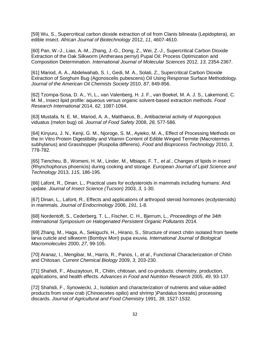<span id="page-33-0"></span>[59] Wu, S., Supercritical carbon dioxide extraction of oil from Clanis bilineata (Lepidoptera), an edible insect. *African Journal of Biotechnology* 2012, *11*, 4607-4610.

[60] Pan, W.-J., Liao, A.-M., Zhang, J.-G., Dong, Z., Wei, Z.-J., Supercritical Carbon Dioxide Extraction of the Oak Silkworm (Antheraea pernyi) Pupal Oil: Process Optimization and Composition Determination. *International Journal of Molecular Sciences* 2012, *13*, 2354-2367.

<span id="page-33-1"></span>[61] Mariod, A. A., Abdelwahab, S. I., Gedi, M. A., Solati, Z., Supercritical Carbon Dioxide Extraction of Sorghum Bug (Agonoscelis pubescens) Oil Using Response Surface Methodology. *Journal of the American Oil Chemists Society* 2010, *87*, 849-856.

[62] Tzompa-Sosa, D. A., Yi, L., van Valenberg, H. J. F., van Boekel, M. A. J. S., Lakemond, C. M. M., Insect lipid profile: aqueous versus organic solvent-based extraction methods. *Food Research International* 2014, *62*, 1087-1094.

[63] Mustafa, N. E. M., Mariod, A. A., Matthaeus, B., Antibacterial activity of Aspongopus viduatus (melon bug) oil. *Journal of Food Safety* 2008, *28*, 577-586.

<span id="page-33-2"></span>[64] Kinyuru, J. N., Kenji, G. M., Njoroge, S. M., Ayieko, M. A., Effect of Processing Methods on the In Vitro Protein Digestibility and Vitamin Content of Edible Winged Termite (Macrotermes subhylanus) and Grasshopper (Ruspolia differens). *Food and Bioprocess Technology* 2010, *3*, 778-782.

<span id="page-33-3"></span>[65] Tiencheu, B., Womeni, H. M., Linder, M., Mbiapo, F. T.*, et al.*, Changes of lipids in insect (Rhynchophorus phoenicis) during cooking and storage. *European Journal of Lipid Science and Technology* 2013, *115*, 186-195.

<span id="page-33-4"></span>[66] Lafont, R., Dinan, L., Practical uses for ecdysteroids in mammals including humans: And update. *Journal of Insect Science (Tucson)* 2003, *3*, 1-30.

<span id="page-33-5"></span>[67] Dinan, L., Lafont, R., Effects and applications of arthropod steroid hormones (ecdysteroids) in mammals. *Journal of Endocrinology* 2006, *191*, 1-8.

<span id="page-33-6"></span>[68] Nordentoft, S., Cederberg, T. L., Fischer, C. H., Bjerrum, L., *Proceedings of the 34th International Symposium on Halogenated Persistent Organic Pollutants* 2014.

<span id="page-33-7"></span>[69] Zhang, M., Haga, A., Sekiguchi, H., Hirano, S., Structure of insect chitin isolated from beetle larva cuticle and silkworm (Bombyx Mori) pupa exuvia. *International Journal of Biological Macromolecules* 2000, *27*, 99-105.

<span id="page-33-8"></span>[70] Aranaz, I., Mengibar, M., Harris, R., Panos, I.*, et al.*, Functional Characterization of Chitin and Chitosan. *Current Chemical Biology* 2009, *3*, 203-230.

[71] Shahidi, F., Abuzaytoun, R., Chitin, chitosan, and co-products: chemistry, production, applications, and health effects. *Advances in Food and Nutrition Research* 2005, *49*, 93-137.

[72] Shahidi, F., Synowiecki, J., Isolation and characterization of nutrients and value-added products from snow crab (Chinoecetes opilio) and shrimp )Pandalus borealis) processing discards. *Journal of Agricultural and Food Chemistry* 1991, *39*, 1527-1532.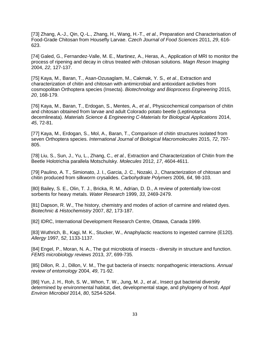<span id="page-34-0"></span>[73] Zhang, A.-J., Qin, Q.-L., Zhang, H., Wang, H.-T.*, et al.*, Preparation and Characterisation of Food-Grade Chitosan from Housefly Larvae. *Czech Journal of Food Sciences* 2011, *29*, 616- 623.

<span id="page-34-1"></span>[74] Galed, G., Fernandez-Valle, M. E., Martinez, A., Heras, A., Application of MRI to monitor the process of ripening and decay in citrus treated with chitosan solutions. *Magn Reson Imaging*  2004, *22*, 127-137.

<span id="page-34-2"></span>[75] Kaya, M., Baran, T., Asan-Ozusaglam, M., Cakmak, Y. S.*, et al.*, Extraction and characterization of chitin and chitosan with antimicrobial and antioxidant activities from cosmopolitan Orthoptera species (Insecta). *Biotechnology and Bioprocess Engineering* 2015, *20*, 168-179.

[76] Kaya, M., Baran, T., Erdogan, S., Mentes, A.*, et al.*, Physicochemical comparison of chitin and chitosan obtained from larvae and adult Colorado potato beetle (Leptinotarsa decemlineata). *Materials Science & Engineering C-Materials for Biological Applications* 2014, *45*, 72-81.

[77] Kaya, M., Erdogan, S., Mol, A., Baran, T., Comparison of chitin structures isolated from seven Orthoptera species. *International Journal of Biological Macromolecules* 2015, *72*, 797- 805.

[78] Liu, S., Sun, J., Yu, L., Zhang, C.*, et al.*, Extraction and Characterization of Chitin from the Beetle Holotrichia parallela Motschulsky. *Molecules* 2012, *17*, 4604-4611.

[79] Paulino, A. T., Simionato, J. I., Garcia, J. C., Nozaki, J., Characterization of chitosan and chitin produced from silkworm crysalides. *Carbohydrate Polymers* 2006, *64*, 98-103.

<span id="page-34-3"></span>[80] Bailey, S. E., Olin, T. J., Bricka, R. M., Adrian, D. D., A review of potentially low-cost sorbents for heavy metals. *Water Research* 1999, *33*, 2469-2479.

<span id="page-34-4"></span>[81] Dapson, R. W., The history, chemistry and modes of action of carmine and related dyes. *Biotechnic & Histochemistry* 2007, *82*, 173-187.

<span id="page-34-5"></span>[82] IDRC, International Development Research Centre, Ottawa, Canada 1999.

<span id="page-34-6"></span>[83] Wuthrich, B., Kagi, M. K., Stucker, W., Anaphylactic reactions to ingested carmine (E120). *Allergy* 1997, *52*, 1133-1137.

<span id="page-34-7"></span>[84] Engel, P., Moran, N. A., The gut microbiota of insects - diversity in structure and function. *FEMS microbiology reviews* 2013, *37*, 699-735.

<span id="page-34-9"></span>[85] Dillon, R. J., Dillon, V. M., The gut bacteria of insects: nonpathogenic interactions. *Annual review of entomology* 2004, *49*, 71-92.

<span id="page-34-8"></span>[86] Yun, J. H., Roh, S. W., Whon, T. W., Jung, M. J.*, et al.*, Insect gut bacterial diversity determined by environmental habitat, diet, developmental stage, and phylogeny of host. *Appl Environ Microbiol* 2014, *80*, 5254-5264.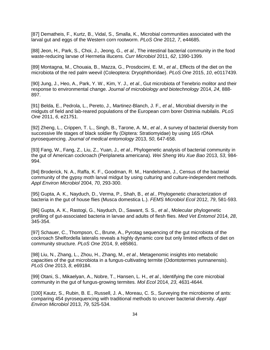<span id="page-35-8"></span><span id="page-35-7"></span><span id="page-35-0"></span>[87] Dematheis, F., Kurtz, B., Vidal, S., Smalla, K., Microbial communities associated with the larval gut and eggs of the Western corn rootworm. *PLoS One* 2012, *7*, e44685.

<span id="page-35-6"></span>[88] Jeon, H., Park, S., Choi, J., Jeong, G.*, et al.*, The intestinal bacterial community in the food waste-reducing larvae of Hermetia illucens. *Curr Microbiol* 2011, *62*, 1390-1399.

[89] Montagna, M., Chouaia, B., Mazza, G., Prosdocimi, E. M.*, et al.*, Effects of the diet on the microbiota of the red palm weevil (Coleoptera: Dryophthoridae). *PLoS One* 2015, *10*, e0117439.

<span id="page-35-1"></span>[90] Jung, J., Heo, A., Park, Y. W., Kim, Y. J.*, et al.*, Gut microbiota of Tenebrio molitor and their response to environmental change. *Journal of microbiology and biotechnology* 2014, *24*, 888- 897.

<span id="page-35-9"></span>[91] Belda, E., Pedrola, L., Pereto, J., Martinez-Blanch, J. F.*, et al.*, Microbial diversity in the midguts of field and lab-reared populations of the European corn borer Ostrinia nubilalis. *PLoS One* 2011, *6*, e21751.

<span id="page-35-2"></span>[92] Zheng, L., Crippen, T. L., Singh, B., Tarone, A. M.*, et al.*, A survey of bacterial diversity from successive life stages of black soldier fly (Diptera: Stratiomyidae) by using 16S rDNA pyrosequencing. *Journal of medical entomology* 2013, *50*, 647-658.

[93] Fang, W., Fang, Z., Liu, Z., Yuan, J.*, et al.*, Phylogenetic analysis of bacterial community in the gut of American cockroach (Periplaneta americana). *Wei Sheng Wu Xue Bao* 2013, *53*, 984- 994.

[94] Broderick, N. A., Raffa, K. F., Goodman, R. M., Handelsman, J., Census of the bacterial community of the gypsy moth larval midgut by using culturing and culture-independent methods. *Appl Environ Microbiol* 2004, *70*, 293-300.

<span id="page-35-3"></span>[95] Gupta, A. K., Nayduch, D., Verma, P., Shah, B.*, et al.*, Phylogenetic characterization of bacteria in the gut of house flies (Musca domestica L.). *FEMS Microbiol Ecol* 2012, *79*, 581-593.

<span id="page-35-4"></span>[96] Gupta, A. K., Rastogi, G., Nayduch, D., Sawant, S. S.*, et al.*, Molecular phylogenetic profiling of gut-associated bacteria in larvae and adults of flesh flies. *Med Vet Entomol* 2014, *28*, 345-354.

[97] Schauer, C., Thompson, C., Brune, A., Pyrotag sequencing of the gut microbiota of the cockroach Shelfordella lateralis reveals a highly dynamic core but only limited effects of diet on community structure. *PLoS One* 2014, *9*, e85861.

<span id="page-35-5"></span>[98] Liu, N., Zhang, L., Zhou, H., Zhang, M.*, et al.*, Metagenomic insights into metabolic capacities of the gut microbiota in a fungus-cultivating termite (Odontotermes yunnanensis). *PLoS One* 2013, *8*, e69184.

[99] Otani, S., Mikaelyan, A., Nobre, T., Hansen, L. H.*, et al.*, Identifying the core microbial community in the gut of fungus-growing termites. *Mol Ecol* 2014, *23*, 4631-4644.

[100] Kautz, S., Rubin, B. E., Russell, J. A., Moreau, C. S., Surveying the microbiome of ants: comparing 454 pyrosequencing with traditional methods to uncover bacterial diversity. *Appl Environ Microbiol* 2013, *79*, 525-534.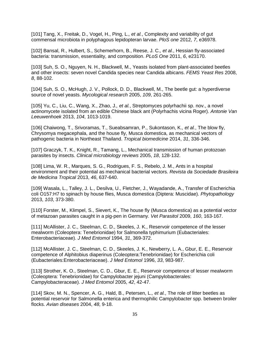<span id="page-36-2"></span>[101] Tang, X., Freitak, D., Vogel, H., Ping, L.*, et al.*, Complexity and variability of gut commensal microbiota in polyphagous lepidopteran larvae. *PloS one* 2012, *7*, e36978.

<span id="page-36-7"></span><span id="page-36-3"></span>[102] Bansal, R., Hulbert, S., Schemerhorn, B., Reese, J. C.*, et al.*, Hessian fly-associated bacteria: transmission, essentiality, and composition. *PLoS One* 2011, *6*, e23170.

<span id="page-36-4"></span>[103] Suh, S. O., Nguyen, N. H., Blackwell, M., Yeasts isolated from plant-associated beetles and other insects: seven novel Candida species near Candida albicans. *FEMS Yeast Res* 2008, *8*, 88-102.

<span id="page-36-5"></span>[104] Suh, S. O., McHugh, J. V., Pollock, D. D., Blackwell, M., The beetle gut: a hyperdiverse source of novel yeasts. *Mycological research* 2005, *109*, 261-265.

<span id="page-36-8"></span>[105] Yu, C., Liu, C., Wang, X., Zhao, J.*, et al.*, Streptomyces polyrhachii sp. nov., a novel actinomycete isolated from an edible Chinese black ant (Polyrhachis vicina Roger). *Antonie Van Leeuwenhoek* 2013, *104*, 1013-1019.

<span id="page-36-9"></span><span id="page-36-0"></span>[106] Chaiwong, T., Srivoramas, T., Sueabsamran, P., Sukontason, K.*, et al.*, The blow fly, Chrysomya megacephala, and the house fly, Musca domestica, as mechanical vectors of pathogenic bacteria in Northeast Thailand. *Tropical biomedicine* 2014, *31*, 336-346.

<span id="page-36-6"></span>[107] Graczyk, T. K., Knight, R., Tamang, L., Mechanical transmission of human protozoan parasites by insects. *Clinical microbiology reviews* 2005, *18*, 128-132.

[108] Lima, W. R., Marques, S. G., Rodrigues, F. S., Rebelo, J. M., Ants in a hospital environment and their potential as mechanical bacterial vectors. *Revista da Sociedade Brasileira de Medicina Tropical* 2013, *46*, 637-640.

[109] Wasala, L., Talley, J. L., Desilva, U., Fletcher, J., Wayadande, A., Transfer of Escherichia coli O157:H7 to spinach by house flies, Musca domestica (Diptera: Muscidae). *Phytopathology*  2013, *103*, 373-380.

[110] Forster, M., Klimpel, S., Sievert, K., The house fly (Musca domestica) as a potential vector of metazoan parasites caught in a pig-pen in Germany. *Vet Parasitol* 2009, *160*, 163-167.

<span id="page-36-1"></span>[111] McAllister, J. C., Steelman, C. D., Skeeles, J. K., Reservoir competence of the lesser mealworm (Coleoptera: Tenebrionidae) for Salmonella typhimurium (Eubacteriales: Enterobacteriaceae). *J Med Entomol* 1994, *31*, 369-372.

[112] McAllister, J. C., Steelman, C. D., Skeeles, J. K., Newberry, L. A., Gbur, E. E., Reservoir competence of Alphitobius diaperinus (Coleoptera:Tenebrionidae) for Escherichia coli (Eubacteriales:Enterobacteriaceae). *J Med Entomol* 1996, *33*, 983-987.

[113] Strother, K. O., Steelman, C. D., Gbur, E. E., Reservoir competence of lesser mealworm (Coleoptera: Tenebrionidae) for Campylobacter jejuni (Campylobacterales: Campylobacteraceae). *J Med Entomol* 2005, *42*, 42-47.

[114] Skov, M. N., Spencer, A. G., Hald, B., Petersen, L.*, et al.*, The role of litter beetles as potential reservoir for Salmonella enterica and thermophilic Campylobacter spp. between broiler flocks. *Avian diseases* 2004, *48*, 9-18.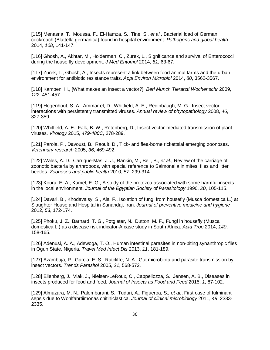<span id="page-37-12"></span>[115] Menasria, T., Moussa, F., El-Hamza, S., Tine, S.*, et al.*, Bacterial load of German cockroach (Blattella germanica) found in hospital environment. *Pathogens and global health*  2014, *108*, 141-147.

[116] Ghosh, A., Akhtar, M., Holderman, C., Zurek, L., Significance and survival of Enterococci during the house fly development. *J Med Entomol* 2014, *51*, 63-67.

[117] Zurek, L., Ghosh, A., Insects represent a link between food animal farms and the urban environment for antibiotic resistance traits. *Appl Environ Microbiol* 2014, *80*, 3562-3567.

[118] Kampen, H., [What makes an insect a vector?]. *Berl Munch Tierarztl Wochenschr* 2009, *122*, 451-457.

<span id="page-37-0"></span>[119] Hogenhout, S. A., Ammar el, D., Whitfield, A. E., Redinbaugh, M. G., Insect vector interactions with persistently transmitted viruses. *Annual review of phytopathology* 2008, *46*, 327-359.

<span id="page-37-1"></span>[120] Whitfield, A. E., Falk, B. W., Rotenberg, D., Insect vector-mediated transmission of plant viruses. *Virology* 2015, *479-480C*, 278-289.

<span id="page-37-2"></span>[121] Parola, P., Davoust, B., Raoult, D., Tick- and flea-borne rickettsial emerging zoonoses. *Veterinary research* 2005, *36*, 469-492.

<span id="page-37-11"></span><span id="page-37-3"></span>[122] Wales, A. D., Carrique-Mas, J. J., Rankin, M., Bell, B.*, et al.*, Review of the carriage of zoonotic bacteria by arthropods, with special reference to Salmonella in mites, flies and litter beetles. *Zoonoses and public health* 2010, *57*, 299-314.

<span id="page-37-4"></span>[123] Koura, E. A., Kamel, E. G., A study of the protozoa associated with some harmful insects in the local environment. *Journal of the Egyptian Society of Parasitology* 1990, *20*, 105-115.

<span id="page-37-5"></span>[124] Davari, B., Khodavaisy, S., Ala, F., Isolation of fungi from housefly (Musca domestica L.) at Slaughter House and Hospital in Sanandaj, Iran. *Journal of preventive medicine and hygiene*  2012, *53*, 172-174.

<span id="page-37-6"></span>[125] Phoku, J. Z., Barnard, T. G., Potgieter, N., Dutton, M. F., Fungi in housefly (Musca domestica L.) as a disease risk indicator-A case study in South Africa. *Acta Trop* 2014, *140*, 158-165.

<span id="page-37-7"></span>[126] Adenusi, A. A., Adewoga, T. O., Human intestinal parasites in non-biting synanthropic flies in Ogun State, Nigeria. *Travel Med Infect Dis* 2013, *11*, 181-189.

<span id="page-37-8"></span>[127] Azambuja, P., Garcia, E. S., Ratcliffe, N. A., Gut microbiota and parasite transmission by insect vectors. *Trends Parasitol* 2005, *21*, 568-572.

<span id="page-37-9"></span>[128] Eilenberg, J., Vlak, J., Nielsen-LeRoux, C., Cappellozza, S., Jensen, A. B., Diseases in insects produced for food and feed. *Journal of Insects as Food and Feed* 2015, *1*, 87-102.

<span id="page-37-10"></span>[129] Almuzara, M. N., Palombarani, S., Tuduri, A., Figueroa, S.*, et al.*, First case of fulminant sepsis due to Wohlfahrtiimonas chitiniclastica. *Journal of clinical microbiology* 2011, *49*, 2333- 2335.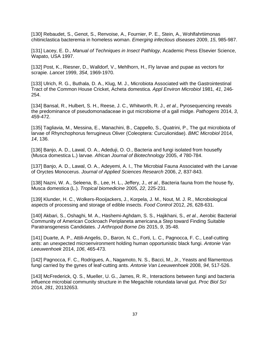<span id="page-38-5"></span>[130] Rebaudet, S., Genot, S., Renvoise, A., Fournier, P. E., Stein, A., Wohlfahrtiimonas chitiniclastica bacteremia in homeless woman. *Emerging infectious diseases* 2009, *15*, 985-987.

[131] Lacey, E. D., *Manual of Techniques in Insect Pathlogy*, Academic Press Elsevier Science, Wapato, USA 1997.

<span id="page-38-0"></span>[132] Post, K., Riesner, D., Walldorf, V., Mehlhorn, H., Fly larvae and pupae as vectors for scrapie. *Lancet* 1999, *354*, 1969-1970.

<span id="page-38-1"></span>[133] Ulrich, R. G., Buthala, D. A., Klug, M. J., Microbiota Associated with the Gastrointestinal Tract of the Common House Cricket, Acheta domestica. *Appl Environ Microbiol* 1981, *41*, 246- 254.

<span id="page-38-8"></span>[134] Bansal, R., Hulbert, S. H., Reese, J. C., Whitworth, R. J.*, et al.*, Pyrosequencing reveals the predominance of pseudomonadaceae in gut microbiome of a gall midge. *Pathogens* 2014, *3*, 459-472.

<span id="page-38-9"></span><span id="page-38-6"></span>[135] Tagliavia, M., Messina, E., Manachini, B., Cappello, S., Quatrini, P., The gut microbiota of larvae of Rhynchophorus ferrugineus Oliver (Coleoptera: Curculionidae). *BMC Microbiol* 2014, *14*, 136.

<span id="page-38-7"></span><span id="page-38-2"></span>[136] Banjo, A. D., Lawal, O. A., Adeduji, O. O., Bacteria and fungi isolated from housefly (Musca domestica L.) larvae. *African Journal of Biotechnology* 2005, *4* 780-784.

<span id="page-38-3"></span>[137] Banjo, A. D., Lawal, O. A., Adeyemi, A. I., The Microbial Fauna Associated with the Larvae of Oryctes Monocerus. *Journal of Applied Sciences Research* 2006, *2*, 837-843.

[138] Nazni, W. A., Seleena, B., Lee, H. L., Jeffery, J.*, et al.*, Bacteria fauna from the house fly, Musca domestica (L.). *Tropical biomedicine* 2005, *22*, 225-231.

[139] Klunder, H. C., Wolkers-Rooijackers, J., Korpela, J. M., Nout, M. J. R., Microbiological aspects of processing and storage of edible insects. *Food Control* 2012, *26*, 628-631.

[140] Akbari, S., Oshaghi, M. A., Hashemi-Aghdam, S. S., Hajikhani, S.*, et al.*, Aerobic Bacterial Community of American Cockroach Periplaneta americana,a Step toward Finding Suitable Paratransgenesis Candidates. *J Arthropod Borne Dis* 2015, *9*, 35-48.

<span id="page-38-4"></span>[141] Duarte, A. P., Attili-Angelis, D., Baron, N. C., Forti, L. C., Pagnocca, F. C., Leaf-cutting ants: an unexpected microenvironment holding human opportunistic black fungi. *Antonie Van Leeuwenhoek* 2014, *106*, 465-473.

[142] Pagnocca, F. C., Rodrigues, A., Nagamoto, N. S., Bacci, M., Jr., Yeasts and filamentous fungi carried by the gynes of leaf-cutting ants. *Antonie Van Leeuwenhoek* 2008, *94*, 517-526.

[143] McFrederick, Q. S., Mueller, U. G., James, R. R., Interactions between fungi and bacteria influence microbial community structure in the Megachile rotundata larval gut. *Proc Biol Sci*  2014, *281*, 20132653.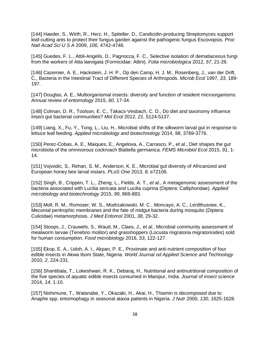<span id="page-39-10"></span>[144] Haeder, S., Wirth, R., Herz, H., Spiteller, D., Candicidin-producing Streptomyces support leaf-cutting ants to protect their fungus garden against the pathogenic fungus Escovopsis. *Proc Natl Acad Sci U S A* 2009, *106*, 4742-4746.

<span id="page-39-11"></span><span id="page-39-9"></span>[145] Guedes, F. L., Attili-Angelis, D., Pagnocca, F. C., Selective isolation of dematiaceous fungi from the workers of Atta laevigata (Formicidae: Attini). *Folia microbiologica* 2012, *57*, 21-26.

<span id="page-39-0"></span>[146] Cazemier, A. E., Hackstein, J. H. P., Op den Camp, H. J. M., Rosenberg, J., van der Drift, C., Bacteria in the Intestinal Tract of Different Species of Arthropods. *Microb Ecol* 1997, *33*, 189- 197.

<span id="page-39-1"></span>[147] Douglas, A. E., Multiorganismal insects: diversity and function of resident microorganisms. *Annual review of entomology* 2015, *60*, 17-34.

<span id="page-39-2"></span>[148] Colman, D. R., Toolson, E. C., Takacs-Vesbach, C. D., Do diet and taxonomy influence insect gut bacterial communities? *Mol Ecol* 2012, *21*, 5124-5137.

[149] Liang, X., Fu, Y., Tong, L., Liu, H., Microbial shifts of the silkworm larval gut in response to lettuce leaf feeding. *Applied microbiology and biotechnology* 2014, *98*, 3769-3776.

<span id="page-39-8"></span>[150] Perez-Cobas, A. E., Maiques, E., Angelova, A., Carrasco, P.*, et al.*, Diet shapes the gut microbiota of the omnivorous cockroach Blattella germanica. *FEMS Microbiol Ecol* 2015, *91*, 1- 14.

<span id="page-39-3"></span>[151] Vojvodic, S., Rehan, S. M., Anderson, K. E., Microbial gut diversity of Africanized and European honey bee larval instars. *PLoS One* 2013, *8*, e72106.

[152] Singh, B., Crippen, T. L., Zheng, L., Fields, A. T.*, et al.*, A metagenomic assessment of the bacteria associated with Lucilia sericata and Lucilia cuprina (Diptera: Calliphoridae). *Applied microbiology and biotechnology* 2015, *99*, 869-883.

[153] Moll, R. M., Romoser, W. S., Modrzakowski, M. C., Moncayo, A. C., Lerdthusnee, K., Meconial peritrophic membranes and the fate of midgut bacteria during mosquito (Diptera: Culicidae) metamorphosis. *J Med Entomol* 2001, *38*, 29-32.

<span id="page-39-4"></span>[154] Stoops, J., Crauwels, S., Waud, M., Claes, J.*, et al.*, Microbial community assessment of mealworm larvae (Tenebrio molitor) and grasshoppers (Locusta migratoria migratorioides) sold for human consumption. *Food microbiology* 2016, *53*, 122-127.

<span id="page-39-5"></span>[155] Ekop, E. A., Udoh, A. I., Akpan, P. E., Proximate and anti-nutrient composition of four edible insects in Akwa Ibom State, Nigeria. *World Journal od Applied Science and Technology*  2010, *2*, 224-231.

<span id="page-39-6"></span>[156] Shantibala, T., Lokeshwari, R. K., Debaraj, H., Nutritional and antinutritional composition of the five species of aquatic edible insects consumed in Manipur, India. *Journal of insect science*  2014, *14*, 1-10.

<span id="page-39-7"></span>[157] Nishimune, T., Watanabe, Y., Okazaki, H., Akai, H., Thiamin is decomposed due to Anaphe spp. entomophagy in seasonal ataxia patients in Nigeria. *J Nutr* 2000, *130*, 1625-1628.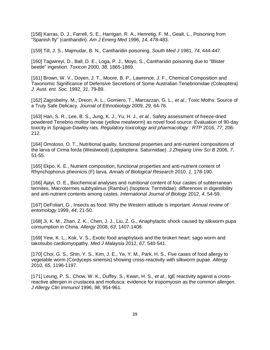<span id="page-40-0"></span>[158] Karras, D. J., Farrell, S. E., Harrigan, R. A., Henretig, F. M., Gealt, L., Poisoning from "Spanish fly" (cantharidin). *Am J Emerg Med* 1996, *14*, 478-483.

[159] Till, J. S., Majmudar, B. N., Cantharidin poisoning. *South Med J* 1981, *74*, 444-447.

[160] Tagwireyi, D., Ball, D. E., Loga, P. J., Moyo, S., Cantharidin poisoning due to "Blister beetle" ingestion. *Toxicon* 2000, *38*, 1865-1869.

<span id="page-40-1"></span>[161] Brown, W. V., Doyen, J. T., Moore, B. P., Lawrence, J. F., Chemical Composition and Taxonomic Significance of Defensive Secretions of Some Australian Tenebrionidae (Coleoptera) *J. Aust. ent. Soc.* 1992, *31*, 79-89.

<span id="page-40-2"></span>[162] Zagrobelny, M., Dreon, A. L., Gomiero, T., Marcazzan, G. L.*, et al.*, Toxic Moths: Source of a Truly Safe Delicacy. *Journal of Ethnobiology* 2009, *29*, 64-76.

<span id="page-40-3"></span>[163] Han, S. R., Lee, B. S., Jung, K. J., Yu, H. J.*, et al.*, Safety assessment of freeze-dried powdered Tenebrio molitor larvae (yellow mealworm) as novel food source: Evaluation of 90-day toxicity in Sprague-Dawley rats. *Regulatory toxicology and pharmacology : RTP* 2016, *77*, 206- 212.

<span id="page-40-4"></span>[164] Omotoso, O. T., Nutritional quality, functional properties and anti-nutrient compositions of the larva of Cirina forda (Westwood) (Lepidoptera: Saturniidae). *J Zhejiang Univ Sci B* 2006, *7*, 51-55.

[165] Ekpo, K. E., Nutrient composition, functional properties and anti-nutrient content of Rhynchophorus pheonicis (F) larva. *Annals of Biological Research* 2010, *1*, 178-190.

[166] Ajayi, O. E., Biochemical analyses and nutritional content of four castes of subterranean termites, Macrotermes subhyalinus (Rambur) (Isoptera: Termitidae): differences in digestibility and anti-nutrient contents among castes. *International Journal of Biology* 2012, *4*, 54-59.

<span id="page-40-5"></span>[167] DeFoliart, G., Insects as food: Why the Western attitude is important. *Annual review of entomology* 1999, *44*, 21-50.

<span id="page-40-6"></span>[168] Ji, K. M., Zhan, Z. K., Chen, J. J., Liu, Z. G., Anaphylactic shock caused by silkworm pupa consumption in China. *Allergy* 2008, *63*, 1407-1408.

[169] Yew, K. L., Kok, V. S., Exotic food anaphylaxis and the broken heart: sago worm and takotsubo cardiomyopathy. *Med J Malaysia* 2012, *67*, 540-541.

[170] Choi, G. S., Shin, Y. S., Kim, J. E., Ye, Y. M., Park, H. S., Five cases of food allergy to vegetable worm (Cordyceps sinensis) showing cross-reactivity with silkworm pupae. *Allergy*  2010, *65*, 1196-1197.

<span id="page-40-7"></span>[171] Leung, P. S., Chow, W. K., Duffey, S., Kwan, H. S.*, et al.*, IgE reactivity against a crossreactive allergen in crustacea and mollusca: evidence for tropomyosin as the common allergen. *J Allergy Clin Immunol* 1996, *98*, 954-961.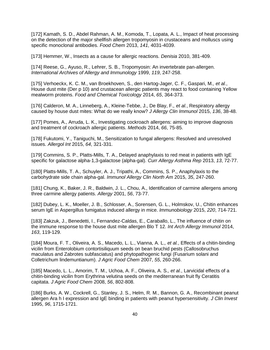<span id="page-41-0"></span>[172] Kamath, S. D., Abdel Rahman, A. M., Komoda, T., Lopata, A. L., Impact of heat processing on the detection of the major shellfish allergen tropomyosin in crustaceans and molluscs using specific monoclonal antibodies. *Food Chem* 2013, *141*, 4031-4039.

<span id="page-41-1"></span>[173] Hemmer, W., Insects as a cause for allergic reactions. *Denisia* 2010, 381-409.

<span id="page-41-2"></span>[174] Reese, G., Ayuso, R., Lehrer, S. B., Tropomyosin: An invertebrate pan-allergen. *International Archives of Allergy and Immunology* 1999, *119*, 247-258.

<span id="page-41-3"></span>[175] Verhoeckx, K. C. M., van Broekhoven, S., den Hartog-Jager, C. F., Gaspari, M.*, et al.*, House dust mite (Der p 10) and crustacean allergic patients may react to food containing Yellow mealworm proteins. *Food and Chemical Toxicology* 2014, *65*, 364-373.

<span id="page-41-4"></span>[176] Calderon, M. A., Linneberg, A., Kleine-Tebbe, J., De Blay, F.*, et al.*, Respiratory allergy caused by house dust mites: What do we really know? *J Allergy Clin Immunol* 2015, *136*, 38-48.

<span id="page-41-5"></span>[177] Pomes, A., Arruda, L. K., Investigating cockroach allergens: aiming to improve diagnosis and treatment of cockroach allergic patients. *Methods* 2014, *66*, 75-85.

<span id="page-41-6"></span>[178] Fukutomi, Y., Taniguchi, M., Sensitization to fungal allergens: Resolved and unresolved issues. *Allergol Int* 2015, *64*, 321-331.

<span id="page-41-7"></span>[179] Commins, S. P., Platts-Mills, T. A., Delayed anaphylaxis to red meat in patients with IgE specific for galactose alpha-1,3-galactose (alpha-gal). *Curr Allergy Asthma Rep* 2013, *13*, 72-77.

<span id="page-41-8"></span>[180] Platts-Mills, T. A., Schuyler, A. J., Tripathi, A., Commins, S. P., Anaphylaxis to the carbohydrate side chain alpha-gal. *Immunol Allergy Clin North Am* 2015, *35*, 247-260.

<span id="page-41-9"></span>[181] Chung, K., Baker, J. R., Baldwin, J. L., Chou, A., Identification of carmine allergens among three carmine allergy patients. *Allergy* 2001, *56*, 73-77.

<span id="page-41-10"></span>[182] Dubey, L. K., Moeller, J. B., Schlosser, A., Sorensen, G. L., Holmskov, U., Chitin enhances serum IgE in Aspergillus fumigatus induced allergy in mice. *Immunobiology* 2015, *220*, 714-721.

<span id="page-41-11"></span>[183] Zakzuk, J., Benedetti, I., Fernandez-Caldas, E., Caraballo, L., The influence of chitin on the immune response to the house dust mite allergen Blo T 12. *Int Arch Allergy Immunol* 2014, *163*, 119-129.

<span id="page-41-12"></span>[184] Moura, F. T., Oliveira, A. S., Macedo, L. L., Vianna, A. L.*, et al.*, Effects of a chitin-binding vicilin from Enterolobium contortisiliquum seeds on bean bruchid pests (Callosobruchus maculatus and Zabrotes subfasciatus) and phytopathogenic fungi (Fusarium solani and Colletrichum lindemuntianum). *J Agric Food Chem* 2007, *55*, 260-266.

<span id="page-41-13"></span>[185] Macedo, L. L., Amorim, T. M., Uchoa, A. F., Oliveira, A. S.*, et al.*, Larvicidal effects of a chitin-binding vicilin from Erythrina velutina seeds on the mediterranean fruit fly Ceratitis capitata. *J Agric Food Chem* 2008, *56*, 802-808.

<span id="page-41-14"></span>[186] Burks, A. W., Cockrell, G., Stanley, J. S., Helm, R. M., Bannon, G. A., Recombinant peanut allergen Ara h I expression and IgE binding in patients with peanut hypersensitivity. *J Clin Invest*  1995, *96*, 1715-1721.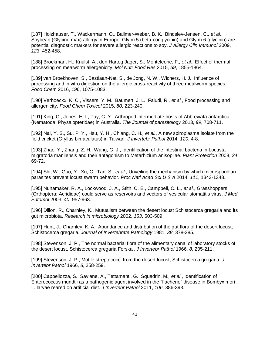<span id="page-42-4"></span><span id="page-42-0"></span>[187] Holzhauser, T., Wackermann, O., Ballmer-Weber, B. K., Bindslev-Jensen, C.*, et al.*, Soybean (Glycine max) allergy in Europe: Gly m 5 (beta-conglycinin) and Gly m 6 (glycinin) are potential diagnostic markers for severe allergic reactions to soy. *J Allergy Clin Immunol* 2009, *123*, 452-458.

<span id="page-42-5"></span><span id="page-42-1"></span>[188] Broekman, H., Knulst, A., den Hartog Jager, S., Monteleone, F.*, et al.*, Effect of thermal processing on mealworm allergenicity. *Mol Nutr Food Res* 2015, *59*, 1855-1864.

<span id="page-42-6"></span><span id="page-42-2"></span>[189] van Broekhoven, S., Bastiaan-Net, S., de Jong, N. W., Wichers, H. J., Influence of processing and in vitro digestion on the allergic cross-reactivity of three mealworm species. *Food Chem* 2016, *196*, 1075-1083.

<span id="page-42-3"></span>[190] Verhoeckx, K. C., Vissers, Y. M., Baumert, J. L., Faludi, R.*, et al.*, Food processing and allergenicity. *Food Chem Toxicol* 2015, *80*, 223-240.

[191] King, C., Jones, H. I., Tay, C. Y., Arthropod intermediate hosts of Abbreviata antarctica (Nematoda: Physalopteridae) in Australia. *The Journal of parasitology* 2013, *99*, 708-711.

<span id="page-42-7"></span>[192] Nai, Y. S., Su, P. Y., Hsu, Y. H., Chiang, C. H.*, et al.*, A new spiroplasma isolate from the field cricket (Gryllus bimaculatus) in Taiwan. *J Invertebr Pathol* 2014, *120*, 4-8.

[193] Zhao, Y., Zhang, Z. H., Wang, G. J., Identification of the intestinal bacteria in Locusta migratoria manilensis and their antagonism to Metarhizium anisopliae. *Plant Protection* 2008, *34*, 69-72.

[194] Shi, W., Guo, Y., Xu, C., Tan, S.*, et al.*, Unveiling the mechanism by which microsporidian parasites prevent locust swarm behavior. *Proc Natl Acad Sci U S A* 2014, *111*, 1343-1348.

<span id="page-42-8"></span>[195] Nunamaker, R. A., Lockwood, J. A., Stith, C. E., Campbell, C. L.*, et al.*, Grasshoppers (Orthoptera: Acrididae) could serve as reservoirs and vectors of vesicular stomatitis virus. *J Med Entomol* 2003, *40*, 957-963.

[196] Dillon, R., Charnley, K., Mutualism between the desert locust Schistocerca gregaria and its gut microbiota. *Research in microbiology* 2002, *153*, 503-509.

[197] Hunt, J., Charnley, K. A., Abundance and distribution of the gut flora of the desert locust, Schistocerca gregaria. *Journal of Invertebrate Pathology* 1981, *38*, 378-385.

[198] Stevenson, J. P., The normal bacterial flora of the alimentary canal of laboratory stocks of the desert locust, Schistocerca gregaria Forskal. *J Invertebr Pathol* 1966, *8*, 205-211.

[199] Stevenson, J. P., Motile streptococci from the desert locust, Schistocerca gregaria. *J Invertebr Pathol* 1966, *8*, 258-259.

[200] Cappellozza, S., Saviane, A., Tettamanti, G., Squadrin, M.*, et al.*, Identification of Enterococcus mundtii as a pathogenic agent involved in the "flacherie" disease in Bombyx mori L. larvae reared on artificial diet. *J Invertebr Pathol* 2011, *106*, 386-393.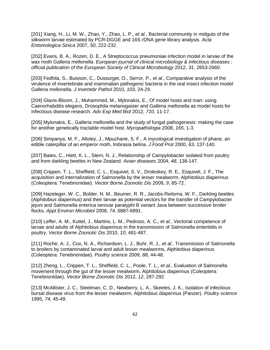<span id="page-43-1"></span><span id="page-43-0"></span>[201] Xiang, H., Li, M. W., Zhao, Y., Zhao, L. P.*, et al.*, Bacterial community in midguts of the silkworm larvae estimated by PCR-DGGE and 16S rDNA gene library analysis. *Acta Entomologica Sinica* 2007, *50*, 222-232.

<span id="page-43-2"></span>[202] Evans, B. A., Rozen, D. E., A Streptococcus pneumoniae infection model in larvae of the wax moth Galleria mellonella. *European journal of clinical microbiology & infectious diseases : official publication of the European Society of Clinical Microbiology* 2012, *31*, 2653-2660.

<span id="page-43-3"></span>[203] Fedhila, S., Buisson, C., Dussurget, O., Serror, P.*, et al.*, Comparative analysis of the virulence of invertebrate and mammalian pathogenic bacteria in the oral insect infection model Galleria mellonella. *J Invertebr Pathol* 2010, *103*, 24-29.

[204] Glavis-Bloom, J., Muhammed, M., Mylonakis, E., Of model hosts and man: using Caenorhabditis elegans, Drosophila melanogaster and Galleria mellonella as model hosts for infectious disease research. *Adv Exp Med Biol* 2012, *710*, 11-17.

[205] Mylonakis, E., Galleria mellonella and the study of fungal pathogenesis: making the case for another genetically tractable model host. *Mycopathologia* 2008, *165*, 1-3.

[206] Simpanya, M. F., Allotey, J., Mpuchane, S. F., A mycological investigation of phane, an edible caterpillar of an emperor moth, Imbrasia belina. *J Food Prot* 2000, *63*, 137-140.

[207] Bates, C., Hiett, K. L., Stern, N. J., Relationship of Campylobacter isolated from poultry and from darkling beetles in New Zealand. *Avian diseases* 2004, *48*, 138-147.

[208] Crippen, T. L., Sheffield, C. L., Esquivel, S. V., Droleskey, R. E., Esquivel, J. F., The acquisition and internalization of Salmonella by the lesser mealworm, Alphitobius diaperinus (Coleoptera: Tenebrionidae). *Vector Borne Zoonotic Dis* 2009, *9*, 65-72.

[209] Hazeleger, W. C., Bolder, N. M., Beumer, R. R., Jacobs-Reitsma, W. F., Darkling beetles (Alphitobius diaperinus) and their larvae as potential vectors for the transfer of Campylobacter jejuni and Salmonella enterica serovar paratyphi B variant Java between successive broiler flocks. *Appl Environ Microbiol* 2008, *74*, 6887-6891.

[210] Leffer, A. M., Kuttel, J., Martins, L. M., Pedroso, A. C., et al., Vectorial competence of larvae and adults of Alphitobius diaperinus in the transmission of Salmonella enteritidis in poultry. *Vector Borne Zoonotic Dis* 2010, *10*, 481-487.

[211] Roche, A. J., Cox, N. A., Richardson, L. J., Buhr, R. J.*, et al.*, Transmission of Salmonella to broilers by contaminated larval and adult lesser mealworms, Alphitobius diaperinus (Coleoptera: Tenebrionidae). *Poultry science* 2009, *88*, 44-48.

[212] Zheng, L., Crippen, T. L., Sheffield, C. L., Poole, T. L.*, et al.*, Evaluation of Salmonella movement through the gut of the lesser mealworm, Alphitobius diaperinus (Coleoptera: Tenebrionidae). *Vector Borne Zoonotic Dis* 2012, *12*, 287-292.

[213] McAllister, J. C., Steelman, C. D., Newberry, L. A., Skeeles, J. K., Isolation of infectious bursal disease virus from the lesser mealworm, Alphitobius diaperinus (Panzer). *Poultry science*  1995, *74*, 45-49.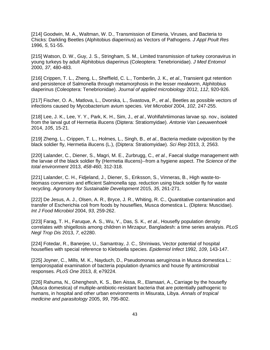<span id="page-44-1"></span><span id="page-44-0"></span>[214] Goodwin, M. A., Waltman, W. D., Transmission of Eimeria, Viruses, and Bacteria to Chicks: Darkling Beetles (Alphitobius diaperinus) as Vectors of Pathogens. *J Appl Poult Res*  1996, *5*, 51-55.

[215] Watson, D. W., Guy, J. S., Stringham, S. M., Limited transmission of turkey coronavirus in young turkeys by adult Alphitobius diaperinus (Coleoptera: Tenebrionidae). *J Med Entomol*  2000, *37*, 480-483.

[216] Crippen, T. L., Zheng, L., Sheffield, C. L., Tomberlin, J. K.*, et al.*, Transient gut retention and persistence of Salmonella through metamorphosis in the lesser mealworm, Alphitobius diaperinus (Coleoptera: Tenebrionidae). *Journal of applied microbiology* 2012, *112*, 920-926.

[217] Fischer, O. A., Matlova, L., Dvorska, L., Svastova, P.*, et al.*, Beetles as possible vectors of infections caused by Mycobacterium avium species. *Vet Microbiol* 2004, *102*, 247-255.

<span id="page-44-2"></span>[218] Lee, J. K., Lee, Y. Y., Park, K. H., Sim, J.*, et al.*, Wohlfahrtiimonas larvae sp. nov., isolated from the larval gut of Hermetia illucens (Diptera: Stratiomyidae). *Antonie Van Leeuwenhoek*  2014, *105*, 15-21.

[219] Zheng, L., Crippen, T. L., Holmes, L., Singh, B.*, et al.*, Bacteria mediate oviposition by the black soldier fly, Hermetia illucens (L.), (Diptera: Stratiomyidae). *Sci Rep* 2013, *3*, 2563.

[220] Lalander, C., Diener, S., Magri, M. E., Zurbrugg, C.*, et al.*, Faecal sludge management with the larvae of the black soldier fly (Hermetia illucens)--from a hygiene aspect. *The Science of the total environment* 2013, *458-460*, 312-318.

[221] Lalander, C. H., Fidjeland, J., Diener, S., Eriksson, S., Vinneras, B., High waste-tobiomass conversion and efficient Salmonella spp. reduction using black soldier fly for waste recycling. *Agronomy for Sustainable Development* 2015, *35*, 261-271.

[222] De Jesus, A. J., Olsen, A. R., Bryce, J. R., Whiting, R. C., Quantitative contamination and transfer of Escherichia coli from foods by houseflies, Musca domestica L. (Diptera: Muscidae). *Int J Food Microbiol* 2004, *93*, 259-262.

[223] Farag, T. H., Faruque, A. S., Wu, Y., Das, S. K.*, et al.*, Housefly population density correlates with shigellosis among children in Mirzapur, Bangladesh: a time series analysis. *PLoS Negl Trop Dis* 2013, *7*, e2280.

[224] Fotedar, R., Banerjee, U., Samantray, J. C., Shriniwas, Vector potential of hospital houseflies with special reference to Klebsiella species. *Epidemiol Infect* 1992, *109*, 143-147.

[225] Joyner, C., Mills, M. K., Nayduch, D., Pseudomonas aeruginosa in Musca domestica L.: temporospatial examination of bacteria population dynamics and house fly antimicrobial responses. *PLoS One* 2013, *8*, e79224.

[226] Rahuma, N., Ghenghesh, K. S., Ben Aissa, R., Elamaari, A., Carriage by the housefly (Musca domestica) of multiple-antibiotic-resistant bacteria that are potentially pathogenic to humans, in hospital and other urban environments in Misurata, Libya. *Annals of tropical medicine and parasitology* 2005, *99*, 795-802.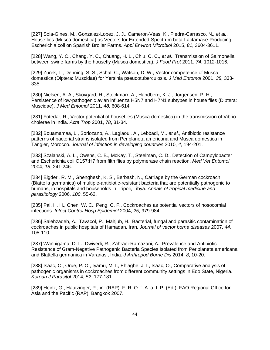[227] Sola-Gines, M., Gonzalez-Lopez, J. J., Cameron-Veas, K., Piedra-Carrasco, N.*, et al.*, Houseflies (Musca domestica) as Vectors for Extended-Spectrum beta-Lactamase-Producing Escherichia coli on Spanish Broiler Farms. *Appl Environ Microbiol* 2015, *81*, 3604-3611.

<span id="page-45-1"></span>[228] Wang, Y. C., Chang, Y. C., Chuang, H. L., Chiu, C. C.*, et al.*, Transmission of Salmonella between swine farms by the housefly (Musca domestica). *J Food Prot* 2011, *74*, 1012-1016.

[229] Zurek, L., Denning, S. S., Schal, C., Watson, D. W., Vector competence of Musca domestica (Diptera: Muscidae) for Yersinia pseudotuberculosis. *J Med Entomol* 2001, *38*, 333- 335.

<span id="page-45-0"></span>[230] Nielsen, A. A., Skovgard, H., Stockmarr, A., Handberg, K. J., Jorgensen, P. H., Persistence of low-pathogenic avian influenza H5N7 and H7N1 subtypes in house flies (Diptera: Muscidae). *J Med Entomol* 2011, *48*, 608-614.

<span id="page-45-2"></span>[231] Fotedar, R., Vector potential of houseflies (Musca domestica) in the transmission of Vibrio cholerae in India. *Acta Trop* 2001, *78*, 31-34.

[232] Bouamamaa, L., Sorlozano, A., Laglaoui, A., Lebbadi, M.*, et al.*, Antibiotic resistance patterns of bacterial strains isolated from Periplaneta americana and Musca domestica in Tangier, Morocco. *Journal of infection in developing countries* 2010, *4*, 194-201.

<span id="page-45-3"></span>[233] Szalanski, A. L., Owens, C. B., McKay, T., Steelman, C. D., Detection of Campylobacter and Escherichia coli O157:H7 from filth flies by polymerase chain reaction. *Med Vet Entomol*  2004, *18*, 241-246.

<span id="page-45-4"></span>[234] Elgderi, R. M., Ghenghesh, K. S., Berbash, N., Carriage by the German cockroach (Blattella germanica) of multiple-antibiotic-resistant bacteria that are potentially pathogenic to humans, in hospitals and households in Tripoli, Libya. *Annals of tropical medicine and parasitology* 2006, *100*, 55-62.

[235] Pai, H. H., Chen, W. C., Peng, C. F., Cockroaches as potential vectors of nosocomial infections. *Infect Control Hosp Epidemiol* 2004, *25*, 979-984.

[236] Salehzadeh, A., Tavacol, P., Mahjub, H., Bacterial, fungal and parasitic contamination of cockroaches in public hospitals of Hamadan, Iran. *Journal of vector borne diseases* 2007, *44*, 105-110.

[237] Wannigama, D. L., Dwivedi, R., Zahraei-Ramazani, A., Prevalence and Antibiotic Resistance of Gram-Negative Pathogenic Bacteria Species Isolated from Periplaneta americana and Blattella germanica in Varanasi, India. *J Arthropod Borne Dis* 2014, *8*, 10-20.

[238] Isaac, C., Orue, P. O., Iyamu, M. I., Ehiaghe, J. I., Isaac, O., Comparative analysis of pathogenic organisms in cockroaches from different community settings in Edo State, Nigeria. *Korean J Parasitol* 2014, *52*, 177-181.

<span id="page-45-5"></span>[239] Heinz, G., Hautzinger, P., in: (RAP), F. R. O. f. A. a. t. P. (Ed.), FAO Regional Office for Asia and the Pacific (RAP), Bangkok 2007.